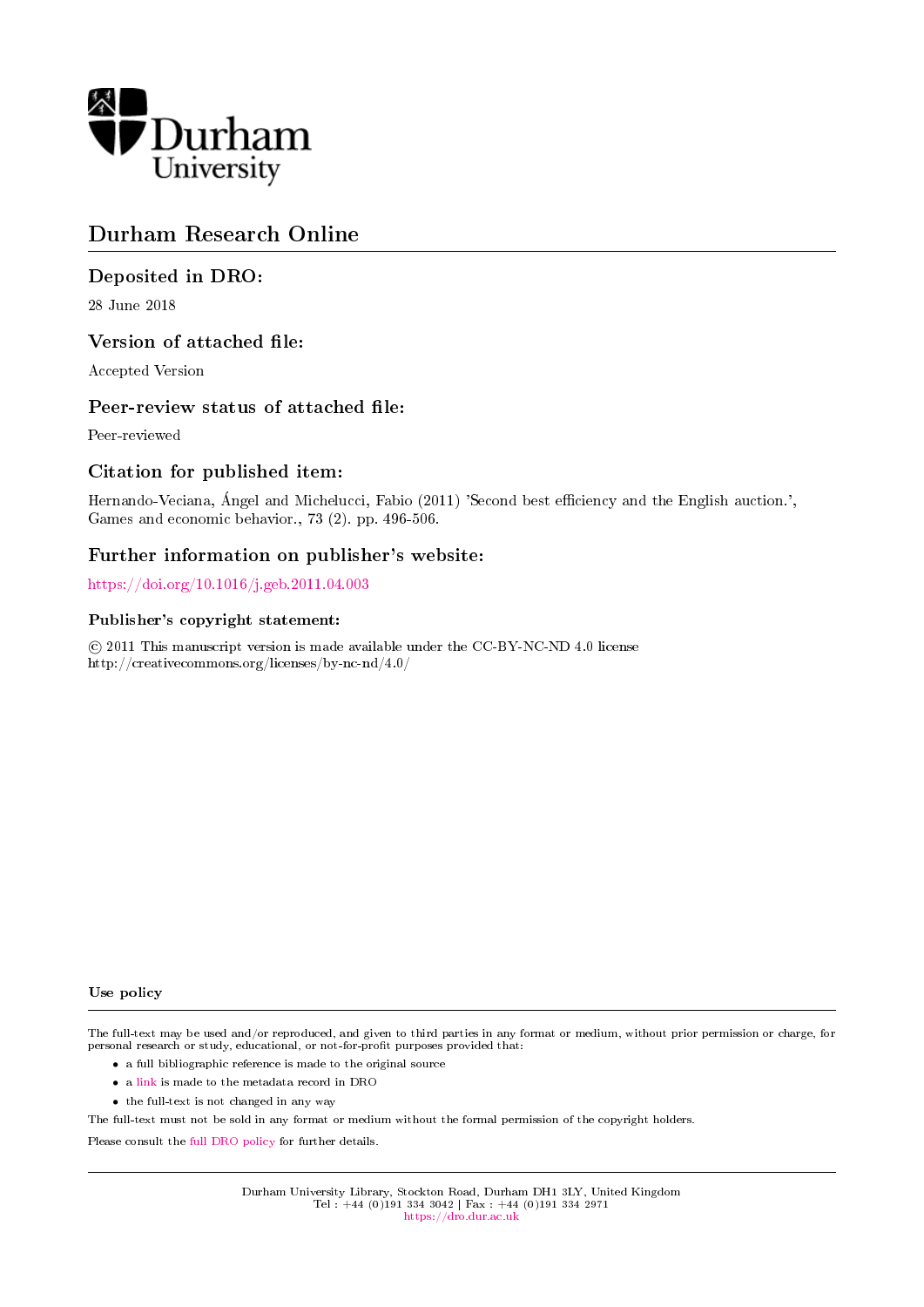

# Durham Research Online

### Deposited in DRO:

28 June 2018

### Version of attached file:

Accepted Version

### Peer-review status of attached file:

Peer-reviewed

### Citation for published item:

Hernando-Veciana, Ángel and Michelucci, Fabio (2011) 'Second best efficiency and the English auction.', Games and economic behavior., 73 (2). pp. 496-506.

### Further information on publisher's website:

<https://doi.org/10.1016/j.geb.2011.04.003>

#### Publisher's copyright statement:

 c 2011 This manuscript version is made available under the CC-BY-NC-ND 4.0 license http://creativecommons.org/licenses/by-nc-nd/4.0/

#### Use policy

The full-text may be used and/or reproduced, and given to third parties in any format or medium, without prior permission or charge, for personal research or study, educational, or not-for-profit purposes provided that:

- a full bibliographic reference is made to the original source
- a [link](http://dro.dur.ac.uk/25361/) is made to the metadata record in DRO
- the full-text is not changed in any way

The full-text must not be sold in any format or medium without the formal permission of the copyright holders.

Please consult the [full DRO policy](https://dro.dur.ac.uk/policies/usepolicy.pdf) for further details.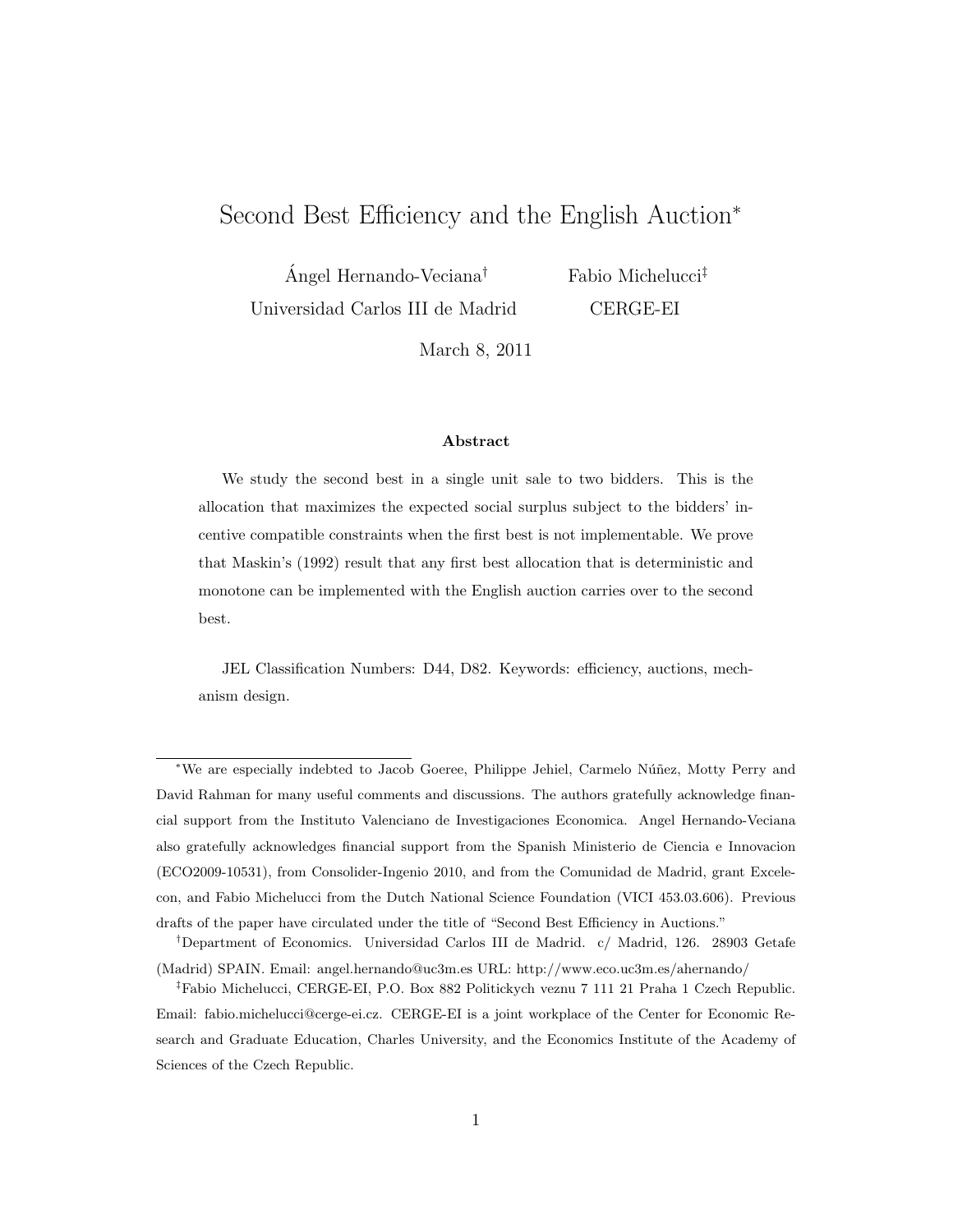# Second Best Efficiency and the English Auction<sup>∗</sup>

Angel Hernando-Veciana ´ † Universidad Carlos III de Madrid Fabio Michelucci‡ CERGE-EI

March 8, 2011

#### Abstract

We study the second best in a single unit sale to two bidders. This is the allocation that maximizes the expected social surplus subject to the bidders' incentive compatible constraints when the first best is not implementable. We prove that Maskin's (1992) result that any first best allocation that is deterministic and monotone can be implemented with the English auction carries over to the second best.

JEL Classification Numbers: D44, D82. Keywords: efficiency, auctions, mechanism design.

<sup>\*</sup>We are especially indebted to Jacob Goeree, Philippe Jehiel, Carmelo Núñez, Motty Perry and David Rahman for many useful comments and discussions. The authors gratefully acknowledge financial support from the Instituto Valenciano de Investigaciones Economica. Angel Hernando-Veciana also gratefully acknowledges financial support from the Spanish Ministerio de Ciencia e Innovacion (ECO2009-10531), from Consolider-Ingenio 2010, and from the Comunidad de Madrid, grant Excelecon, and Fabio Michelucci from the Dutch National Science Foundation (VICI 453.03.606). Previous drafts of the paper have circulated under the title of "Second Best Efficiency in Auctions."

<sup>†</sup>Department of Economics. Universidad Carlos III de Madrid. c/ Madrid, 126. 28903 Getafe (Madrid) SPAIN. Email: angel.hernando@uc3m.es URL: http://www.eco.uc3m.es/ahernando/

<sup>‡</sup>Fabio Michelucci, CERGE-EI, P.O. Box 882 Politickych veznu 7 111 21 Praha 1 Czech Republic. Email: fabio.michelucci@cerge-ei.cz. CERGE-EI is a joint workplace of the Center for Economic Research and Graduate Education, Charles University, and the Economics Institute of the Academy of Sciences of the Czech Republic.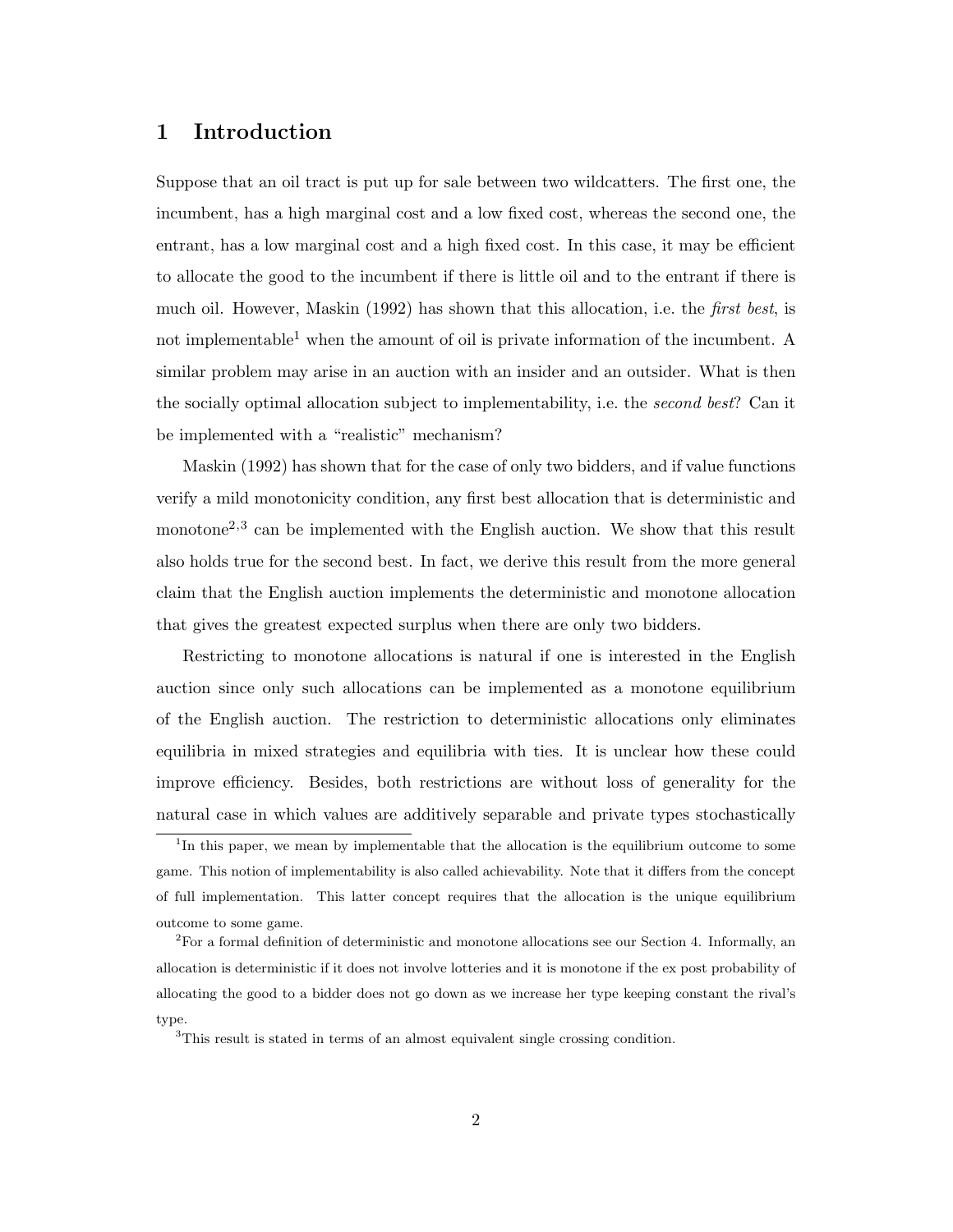### 1 Introduction

Suppose that an oil tract is put up for sale between two wildcatters. The first one, the incumbent, has a high marginal cost and a low fixed cost, whereas the second one, the entrant, has a low marginal cost and a high fixed cost. In this case, it may be efficient to allocate the good to the incumbent if there is little oil and to the entrant if there is much oil. However, Maskin (1992) has shown that this allocation, i.e. the *first best*, is not implementable when the amount of oil is private information of the incumbent. A similar problem may arise in an auction with an insider and an outsider. What is then the socially optimal allocation subject to implementability, i.e. the second best? Can it be implemented with a "realistic" mechanism?

Maskin (1992) has shown that for the case of only two bidders, and if value functions verify a mild monotonicity condition, any first best allocation that is deterministic and monotone<sup>2,3</sup> can be implemented with the English auction. We show that this result also holds true for the second best. In fact, we derive this result from the more general claim that the English auction implements the deterministic and monotone allocation that gives the greatest expected surplus when there are only two bidders.

Restricting to monotone allocations is natural if one is interested in the English auction since only such allocations can be implemented as a monotone equilibrium of the English auction. The restriction to deterministic allocations only eliminates equilibria in mixed strategies and equilibria with ties. It is unclear how these could improve efficiency. Besides, both restrictions are without loss of generality for the natural case in which values are additively separable and private types stochastically

<sup>&</sup>lt;sup>1</sup>In this paper, we mean by implementable that the allocation is the equilibrium outcome to some game. This notion of implementability is also called achievability. Note that it differs from the concept of full implementation. This latter concept requires that the allocation is the unique equilibrium outcome to some game.

 ${}^{2}$  For a formal definition of deterministic and monotone allocations see our Section 4. Informally, an allocation is deterministic if it does not involve lotteries and it is monotone if the ex post probability of allocating the good to a bidder does not go down as we increase her type keeping constant the rival's type.

<sup>&</sup>lt;sup>3</sup>This result is stated in terms of an almost equivalent single crossing condition.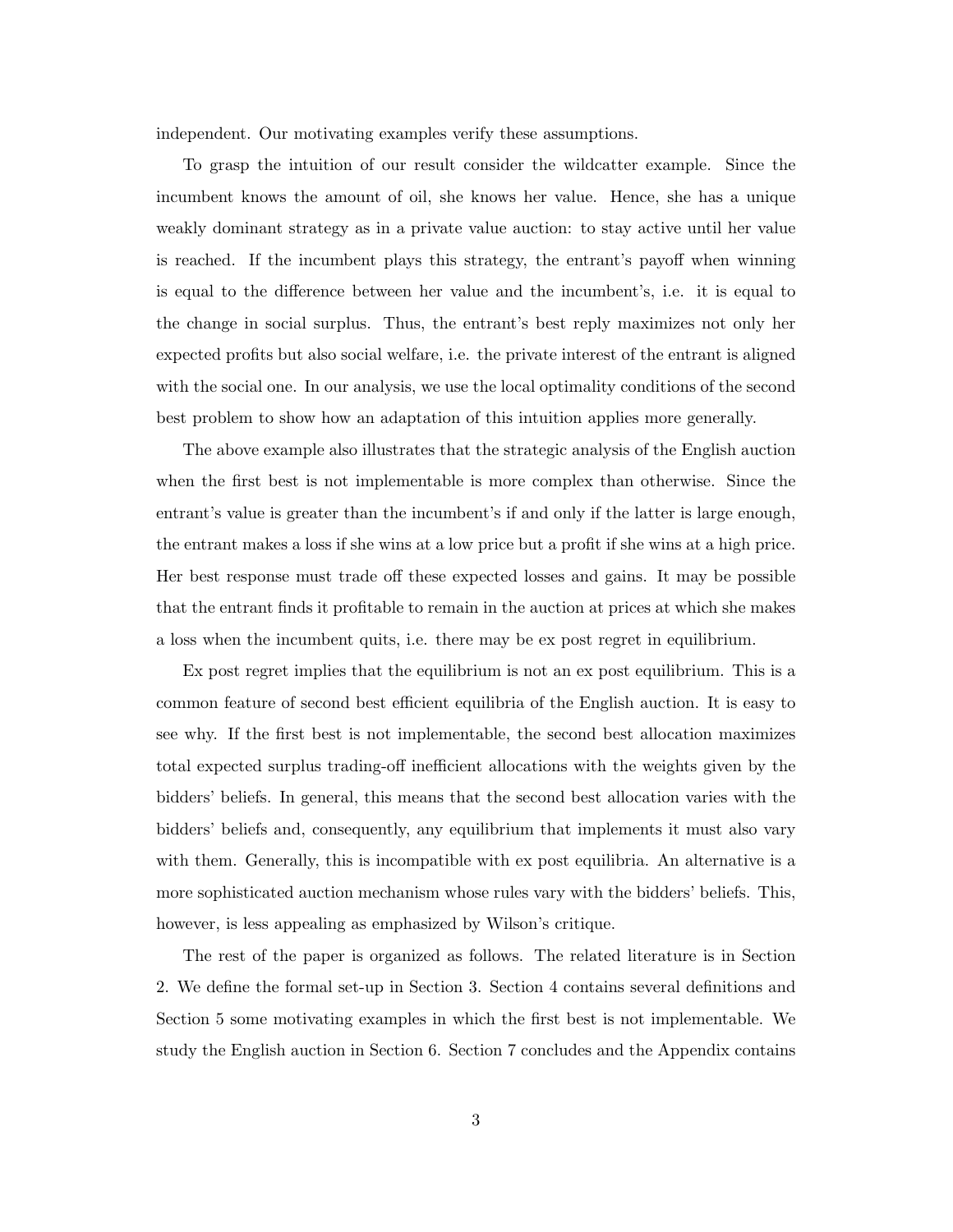independent. Our motivating examples verify these assumptions.

To grasp the intuition of our result consider the wildcatter example. Since the incumbent knows the amount of oil, she knows her value. Hence, she has a unique weakly dominant strategy as in a private value auction: to stay active until her value is reached. If the incumbent plays this strategy, the entrant's payoff when winning is equal to the difference between her value and the incumbent's, i.e. it is equal to the change in social surplus. Thus, the entrant's best reply maximizes not only her expected profits but also social welfare, i.e. the private interest of the entrant is aligned with the social one. In our analysis, we use the local optimality conditions of the second best problem to show how an adaptation of this intuition applies more generally.

The above example also illustrates that the strategic analysis of the English auction when the first best is not implementable is more complex than otherwise. Since the entrant's value is greater than the incumbent's if and only if the latter is large enough, the entrant makes a loss if she wins at a low price but a profit if she wins at a high price. Her best response must trade off these expected losses and gains. It may be possible that the entrant finds it profitable to remain in the auction at prices at which she makes a loss when the incumbent quits, i.e. there may be ex post regret in equilibrium.

Ex post regret implies that the equilibrium is not an ex post equilibrium. This is a common feature of second best efficient equilibria of the English auction. It is easy to see why. If the first best is not implementable, the second best allocation maximizes total expected surplus trading-off inefficient allocations with the weights given by the bidders' beliefs. In general, this means that the second best allocation varies with the bidders' beliefs and, consequently, any equilibrium that implements it must also vary with them. Generally, this is incompatible with ex post equilibria. An alternative is a more sophisticated auction mechanism whose rules vary with the bidders' beliefs. This, however, is less appealing as emphasized by Wilson's critique.

The rest of the paper is organized as follows. The related literature is in Section 2. We define the formal set-up in Section 3. Section 4 contains several definitions and Section 5 some motivating examples in which the first best is not implementable. We study the English auction in Section 6. Section 7 concludes and the Appendix contains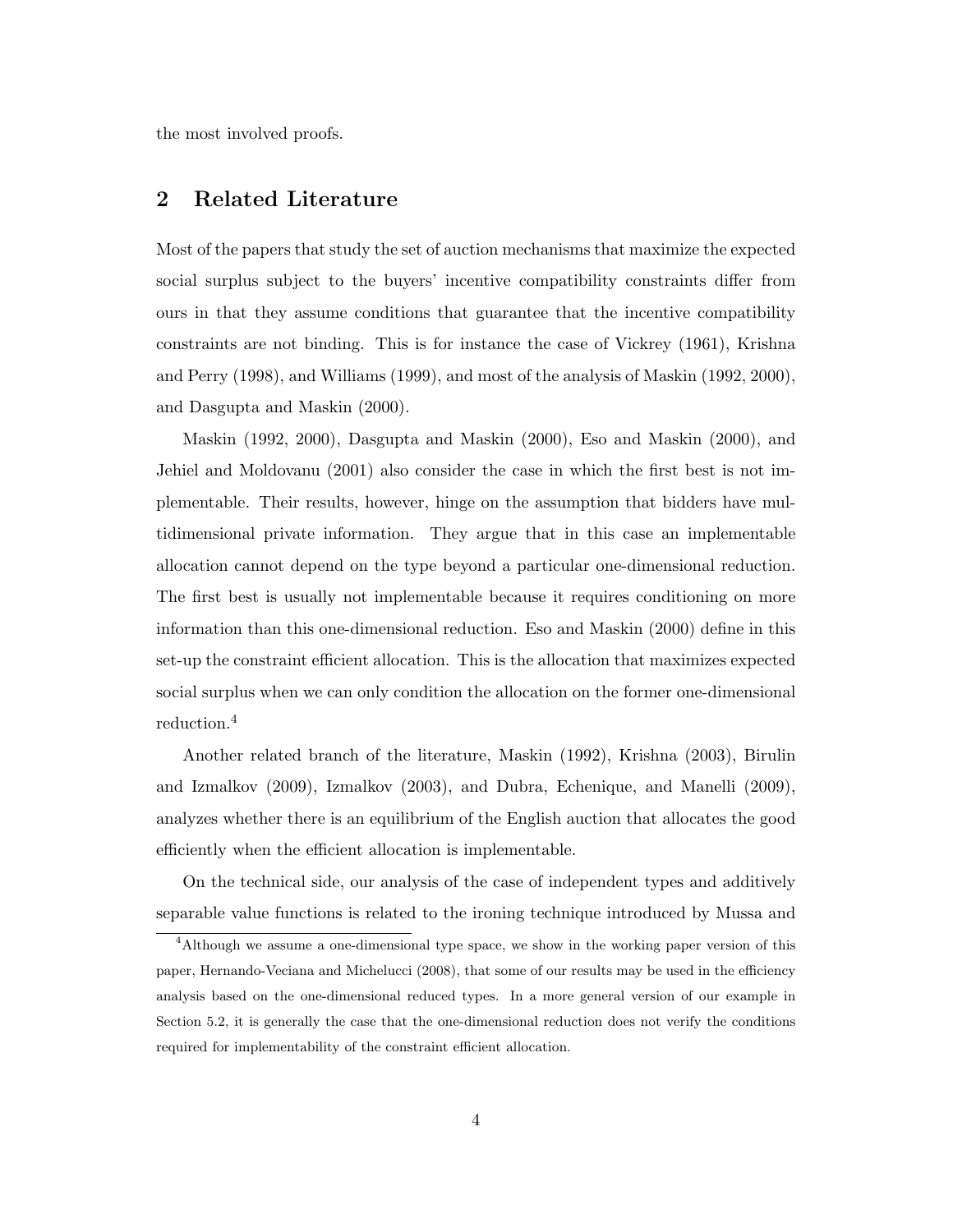the most involved proofs.

## 2 Related Literature

Most of the papers that study the set of auction mechanisms that maximize the expected social surplus subject to the buyers' incentive compatibility constraints differ from ours in that they assume conditions that guarantee that the incentive compatibility constraints are not binding. This is for instance the case of Vickrey (1961), Krishna and Perry (1998), and Williams (1999), and most of the analysis of Maskin (1992, 2000), and Dasgupta and Maskin (2000).

Maskin (1992, 2000), Dasgupta and Maskin (2000), Eso and Maskin (2000), and Jehiel and Moldovanu (2001) also consider the case in which the first best is not implementable. Their results, however, hinge on the assumption that bidders have multidimensional private information. They argue that in this case an implementable allocation cannot depend on the type beyond a particular one-dimensional reduction. The first best is usually not implementable because it requires conditioning on more information than this one-dimensional reduction. Eso and Maskin (2000) define in this set-up the constraint efficient allocation. This is the allocation that maximizes expected social surplus when we can only condition the allocation on the former one-dimensional reduction.<sup>4</sup>

Another related branch of the literature, Maskin (1992), Krishna (2003), Birulin and Izmalkov (2009), Izmalkov (2003), and Dubra, Echenique, and Manelli (2009), analyzes whether there is an equilibrium of the English auction that allocates the good efficiently when the efficient allocation is implementable.

On the technical side, our analysis of the case of independent types and additively separable value functions is related to the ironing technique introduced by Mussa and

<sup>&</sup>lt;sup>4</sup>Although we assume a one-dimensional type space, we show in the working paper version of this paper, Hernando-Veciana and Michelucci (2008), that some of our results may be used in the efficiency analysis based on the one-dimensional reduced types. In a more general version of our example in Section 5.2, it is generally the case that the one-dimensional reduction does not verify the conditions required for implementability of the constraint efficient allocation.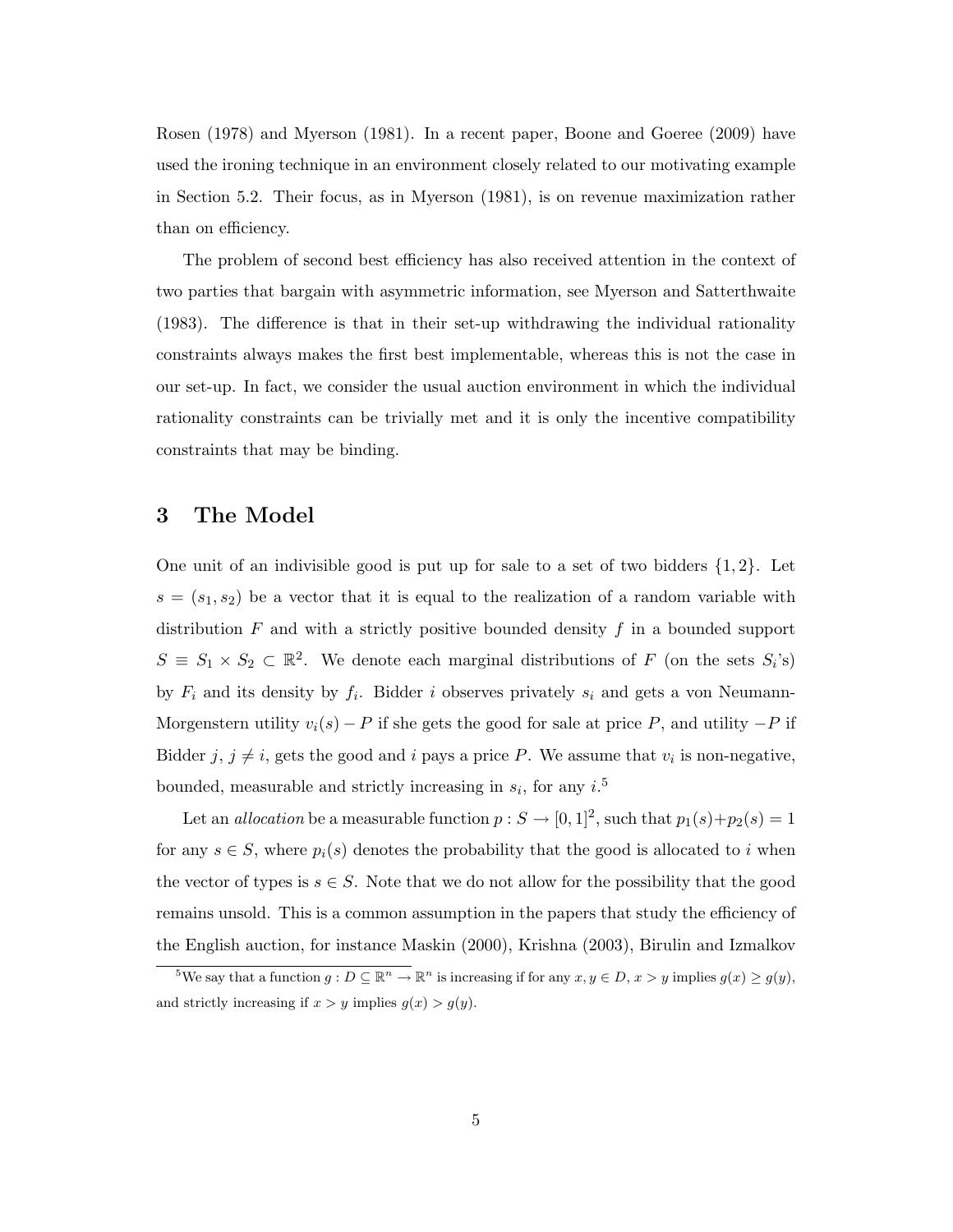Rosen (1978) and Myerson (1981). In a recent paper, Boone and Goeree (2009) have used the ironing technique in an environment closely related to our motivating example in Section 5.2. Their focus, as in Myerson (1981), is on revenue maximization rather than on efficiency.

The problem of second best efficiency has also received attention in the context of two parties that bargain with asymmetric information, see Myerson and Satterthwaite (1983). The difference is that in their set-up withdrawing the individual rationality constraints always makes the first best implementable, whereas this is not the case in our set-up. In fact, we consider the usual auction environment in which the individual rationality constraints can be trivially met and it is only the incentive compatibility constraints that may be binding.

### 3 The Model

One unit of an indivisible good is put up for sale to a set of two bidders  $\{1, 2\}$ . Let  $s = (s_1, s_2)$  be a vector that it is equal to the realization of a random variable with distribution  $F$  and with a strictly positive bounded density  $f$  in a bounded support  $S \equiv S_1 \times S_2 \subset \mathbb{R}^2$ . We denote each marginal distributions of F (on the sets  $S_i$ 's) by  $F_i$  and its density by  $f_i$ . Bidder i observes privately  $s_i$  and gets a von Neumann-Morgenstern utility  $v_i(s) - P$  if she gets the good for sale at price P, and utility  $-P$  if Bidder  $j, j \neq i$ , gets the good and i pays a price P. We assume that  $v_i$  is non-negative, bounded, measurable and strictly increasing in  $s_i$ , for any  $i$ <sup>5</sup>

Let an *allocation* be a measurable function  $p: S \to [0, 1]^2$ , such that  $p_1(s) + p_2(s) = 1$ for any  $s \in S$ , where  $p_i(s)$  denotes the probability that the good is allocated to i when the vector of types is  $s \in S$ . Note that we do not allow for the possibility that the good remains unsold. This is a common assumption in the papers that study the efficiency of the English auction, for instance Maskin (2000), Krishna (2003), Birulin and Izmalkov

<sup>&</sup>lt;sup>5</sup>We say that a function  $g: D \subseteq \mathbb{R}^n \to \mathbb{R}^n$  is increasing if for any  $x, y \in D$ ,  $x > y$  implies  $g(x) \ge g(y)$ , and strictly increasing if  $x > y$  implies  $g(x) > g(y)$ .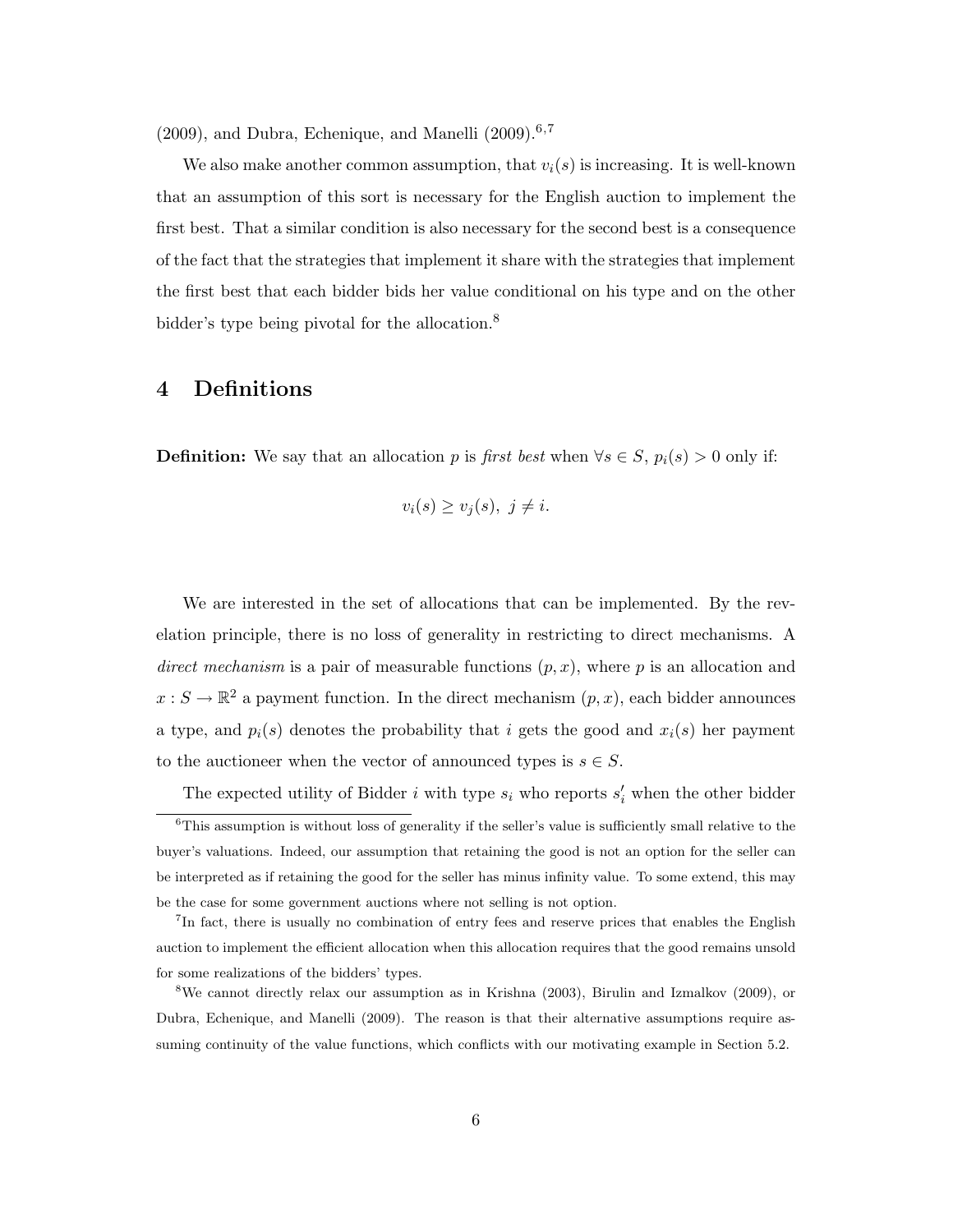$(2009)$ , and Dubra, Echenique, and Manelli  $(2009)$ .<sup>6,7</sup>

We also make another common assumption, that  $v_i(s)$  is increasing. It is well-known that an assumption of this sort is necessary for the English auction to implement the first best. That a similar condition is also necessary for the second best is a consequence of the fact that the strategies that implement it share with the strategies that implement the first best that each bidder bids her value conditional on his type and on the other bidder's type being pivotal for the allocation.<sup>8</sup>

### 4 Definitions

**Definition:** We say that an allocation p is first best when  $\forall s \in S$ ,  $p_i(s) > 0$  only if:

$$
v_i(s) \ge v_j(s), \ j \ne i.
$$

We are interested in the set of allocations that can be implemented. By the revelation principle, there is no loss of generality in restricting to direct mechanisms. A direct mechanism is a pair of measurable functions  $(p, x)$ , where p is an allocation and  $x: S \to \mathbb{R}^2$  a payment function. In the direct mechanism  $(p, x)$ , each bidder announces a type, and  $p_i(s)$  denotes the probability that i gets the good and  $x_i(s)$  her payment to the auctioneer when the vector of announced types is  $s \in S$ .

The expected utility of Bidder *i* with type  $s_i$  who reports  $s'_i$  when the other bidder

 $6$ This assumption is without loss of generality if the seller's value is sufficiently small relative to the buyer's valuations. Indeed, our assumption that retaining the good is not an option for the seller can be interpreted as if retaining the good for the seller has minus infinity value. To some extend, this may be the case for some government auctions where not selling is not option.

<sup>&</sup>lt;sup>7</sup>In fact, there is usually no combination of entry fees and reserve prices that enables the English auction to implement the efficient allocation when this allocation requires that the good remains unsold for some realizations of the bidders' types.

<sup>8</sup>We cannot directly relax our assumption as in Krishna (2003), Birulin and Izmalkov (2009), or Dubra, Echenique, and Manelli (2009). The reason is that their alternative assumptions require assuming continuity of the value functions, which conflicts with our motivating example in Section 5.2.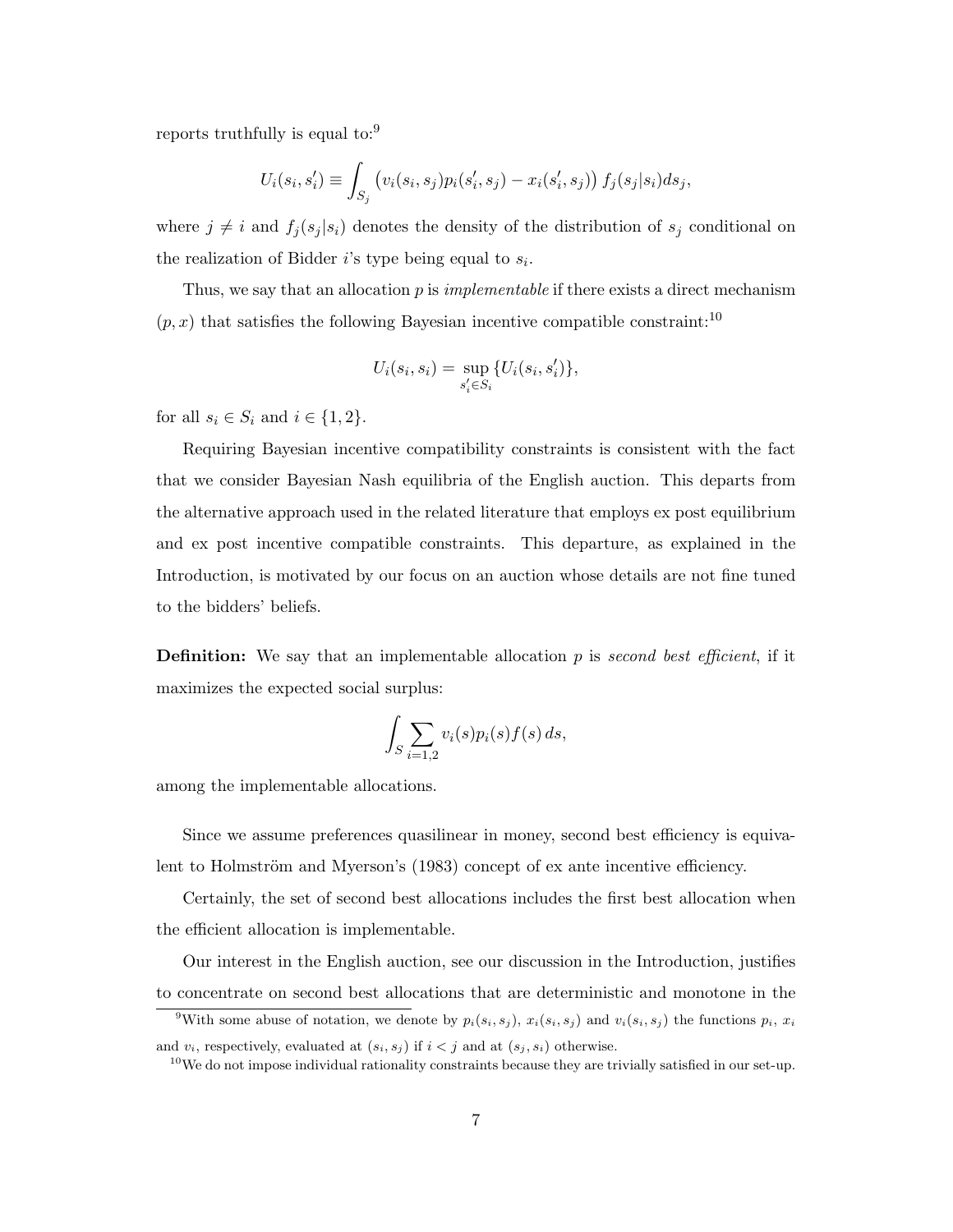reports truthfully is equal to:<sup>9</sup>

$$
U_i(s_i, s'_i) \equiv \int_{S_j} (v_i(s_i, s_j) p_i(s'_i, s_j) - x_i(s'_i, s_j)) f_j(s_j|s_i) ds_j,
$$

where  $j \neq i$  and  $f_j(s_j | s_i)$  denotes the density of the distribution of  $s_j$  conditional on the realization of Bidder  $i$ 's type being equal to  $s_i$ .

Thus, we say that an allocation  $p$  is *implementable* if there exists a direct mechanism  $(p, x)$  that satisfies the following Bayesian incentive compatible constraint:<sup>10</sup>

$$
U_i(s_i, s_i) = \sup_{s'_i \in S_i} \{ U_i(s_i, s'_i) \},\,
$$

for all  $s_i \in S_i$  and  $i \in \{1, 2\}.$ 

Requiring Bayesian incentive compatibility constraints is consistent with the fact that we consider Bayesian Nash equilibria of the English auction. This departs from the alternative approach used in the related literature that employs ex post equilibrium and ex post incentive compatible constraints. This departure, as explained in the Introduction, is motivated by our focus on an auction whose details are not fine tuned to the bidders' beliefs.

**Definition:** We say that an implementable allocation  $p$  is second best efficient, if it maximizes the expected social surplus:

$$
\int_{S} \sum_{i=1,2} v_i(s) p_i(s) f(s) ds,
$$

among the implementable allocations.

Since we assume preferences quasilinear in money, second best efficiency is equivalent to Holmström and Myerson's (1983) concept of ex ante incentive efficiency.

Certainly, the set of second best allocations includes the first best allocation when the efficient allocation is implementable.

Our interest in the English auction, see our discussion in the Introduction, justifies to concentrate on second best allocations that are deterministic and monotone in the

<sup>&</sup>lt;sup>9</sup>With some abuse of notation, we denote by  $p_i(s_i, s_j)$ ,  $x_i(s_i, s_j)$  and  $v_i(s_i, s_j)$  the functions  $p_i$ ,  $x_i$ and  $v_i$ , respectively, evaluated at  $(s_i, s_j)$  if  $i < j$  and at  $(s_j, s_i)$  otherwise.

 $10$ We do not impose individual rationality constraints because they are trivially satisfied in our set-up.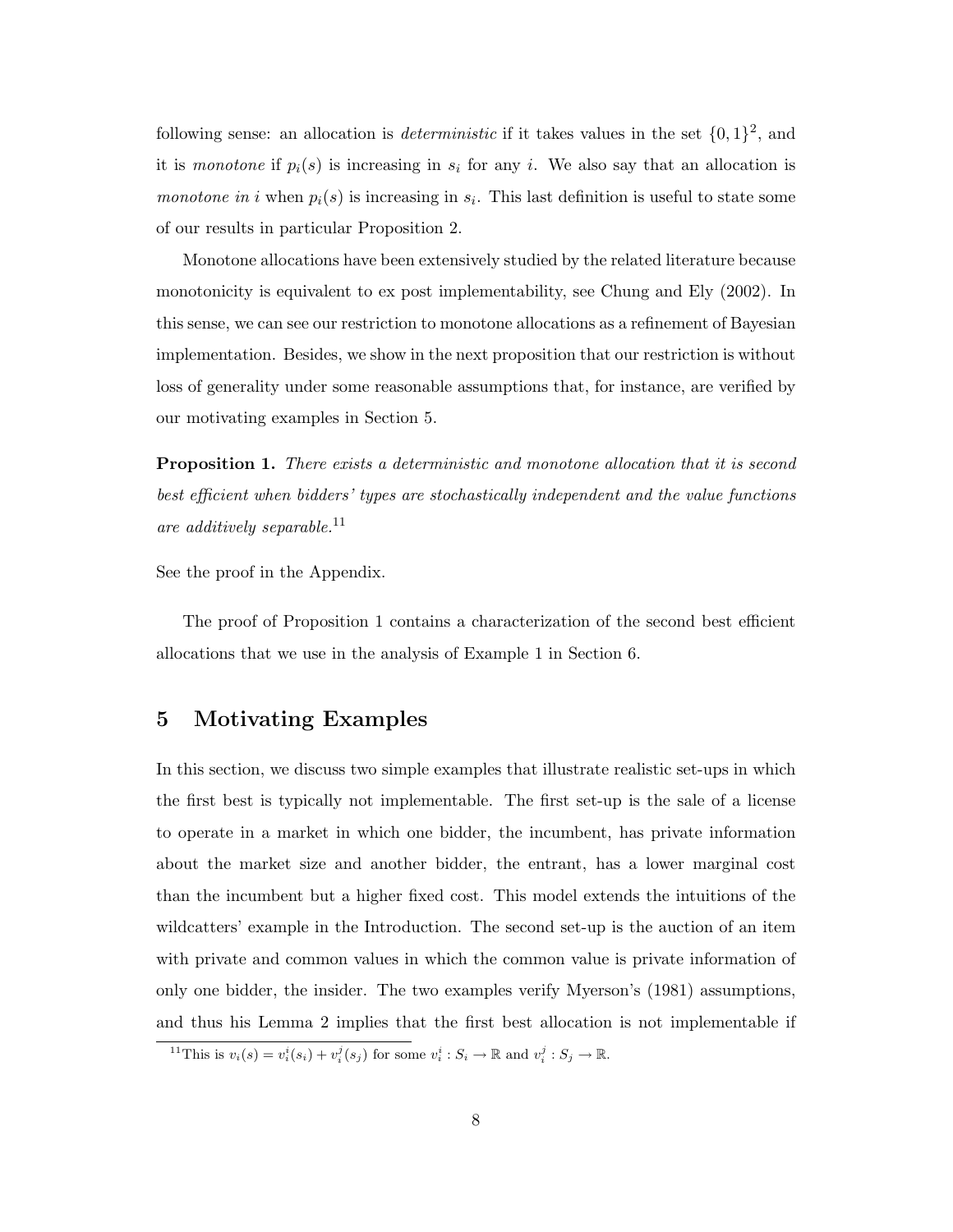following sense: an allocation is *deterministic* if it takes values in the set  $\{0,1\}^2$ , and it is *monotone* if  $p_i(s)$  is increasing in  $s_i$  for any i. We also say that an allocation is monotone in i when  $p_i(s)$  is increasing in  $s_i$ . This last definition is useful to state some of our results in particular Proposition 2.

Monotone allocations have been extensively studied by the related literature because monotonicity is equivalent to ex post implementability, see Chung and Ely (2002). In this sense, we can see our restriction to monotone allocations as a refinement of Bayesian implementation. Besides, we show in the next proposition that our restriction is without loss of generality under some reasonable assumptions that, for instance, are verified by our motivating examples in Section 5.

**Proposition 1.** There exists a deterministic and monotone allocation that it is second best efficient when bidders' types are stochastically independent and the value functions are additively separable.<sup>11</sup>

See the proof in the Appendix.

The proof of Proposition 1 contains a characterization of the second best efficient allocations that we use in the analysis of Example 1 in Section 6.

### 5 Motivating Examples

In this section, we discuss two simple examples that illustrate realistic set-ups in which the first best is typically not implementable. The first set-up is the sale of a license to operate in a market in which one bidder, the incumbent, has private information about the market size and another bidder, the entrant, has a lower marginal cost than the incumbent but a higher fixed cost. This model extends the intuitions of the wildcatters' example in the Introduction. The second set-up is the auction of an item with private and common values in which the common value is private information of only one bidder, the insider. The two examples verify Myerson's (1981) assumptions, and thus his Lemma 2 implies that the first best allocation is not implementable if

<sup>11</sup>This is  $v_i(s) = v_i^i(s_i) + v_i^j(s_j)$  for some  $v_i^i : S_i \to \mathbb{R}$  and  $v_i^j : S_j \to \mathbb{R}$ .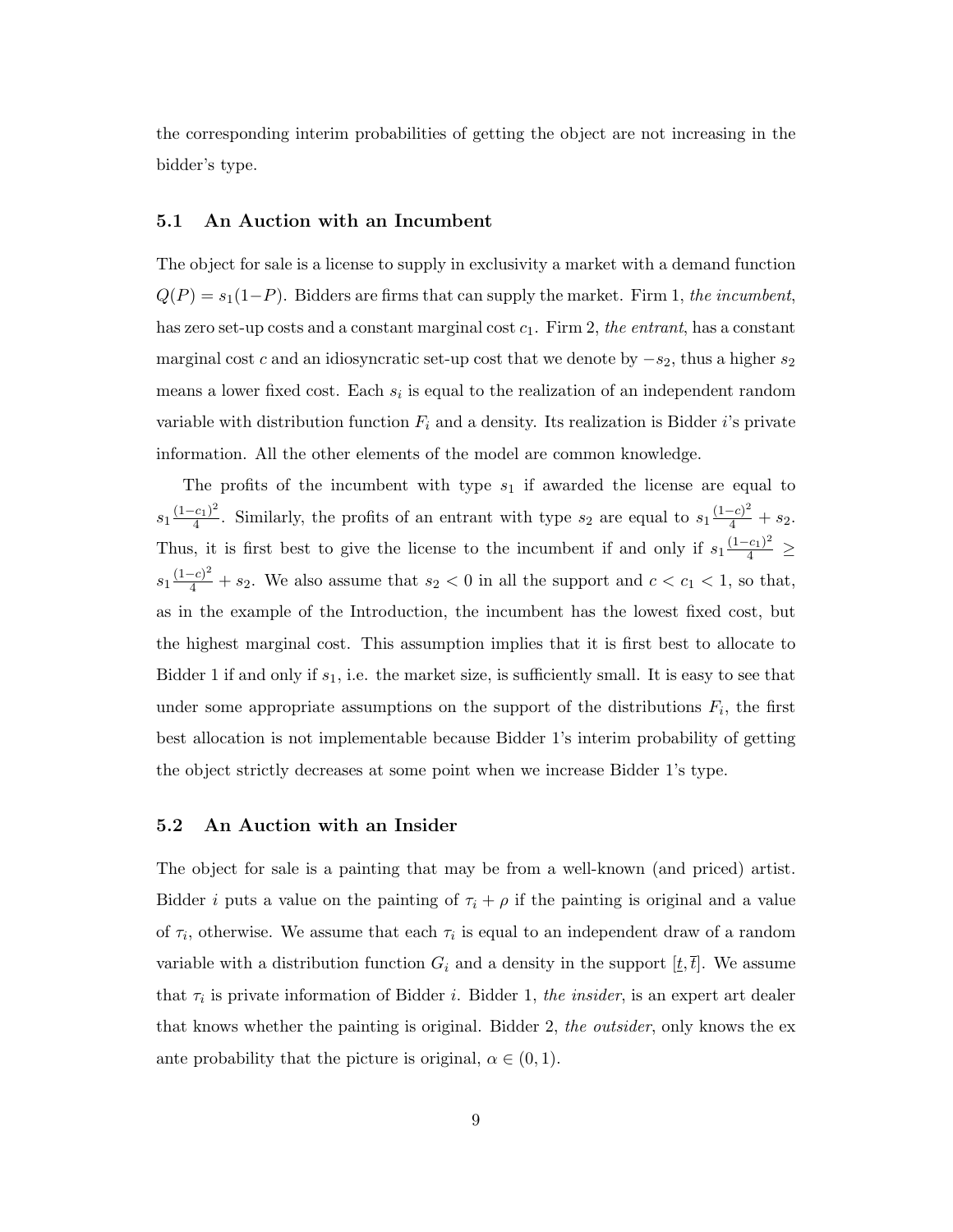the corresponding interim probabilities of getting the object are not increasing in the bidder's type.

#### 5.1 An Auction with an Incumbent

The object for sale is a license to supply in exclusivity a market with a demand function  $Q(P) = s_1(1-P)$ . Bidders are firms that can supply the market. Firm 1, the incumbent, has zero set-up costs and a constant marginal cost  $c_1$ . Firm 2, the entrant, has a constant marginal cost c and an idiosyncratic set-up cost that we denote by  $-s_2$ , thus a higher  $s_2$ means a lower fixed cost. Each  $s_i$  is equal to the realization of an independent random variable with distribution function  $F_i$  and a density. Its realization is Bidder i's private information. All the other elements of the model are common knowledge.

The profits of the incumbent with type  $s_1$  if awarded the license are equal to  $s_1\frac{(1-c_1)^2}{4}$  $\frac{(c_1)^2}{4}$ . Similarly, the profits of an entrant with type  $s_2$  are equal to  $s_1 \frac{(1-c)^2}{4} + s_2$ . Thus, it is first best to give the license to the incumbent if and only if  $s_1 \frac{(1-c_1)^2}{4} \ge$  $s_1 \frac{(1-c)^2}{4} + s_2$ . We also assume that  $s_2 < 0$  in all the support and  $c < c_1 < 1$ , so that, as in the example of the Introduction, the incumbent has the lowest fixed cost, but the highest marginal cost. This assumption implies that it is first best to allocate to Bidder 1 if and only if  $s_1$ , i.e. the market size, is sufficiently small. It is easy to see that under some appropriate assumptions on the support of the distributions  $F_i$ , the first best allocation is not implementable because Bidder 1's interim probability of getting the object strictly decreases at some point when we increase Bidder 1's type.

#### 5.2 An Auction with an Insider

The object for sale is a painting that may be from a well-known (and priced) artist. Bidder *i* puts a value on the painting of  $\tau_i + \rho$  if the painting is original and a value of  $\tau_i$ , otherwise. We assume that each  $\tau_i$  is equal to an independent draw of a random variable with a distribution function  $G_i$  and a density in the support  $[\underline{t},\overline{t}]$ . We assume that  $\tau_i$  is private information of Bidder *i*. Bidder 1, the *insider*, is an expert art dealer that knows whether the painting is original. Bidder 2, the outsider, only knows the ex ante probability that the picture is original,  $\alpha \in (0,1)$ .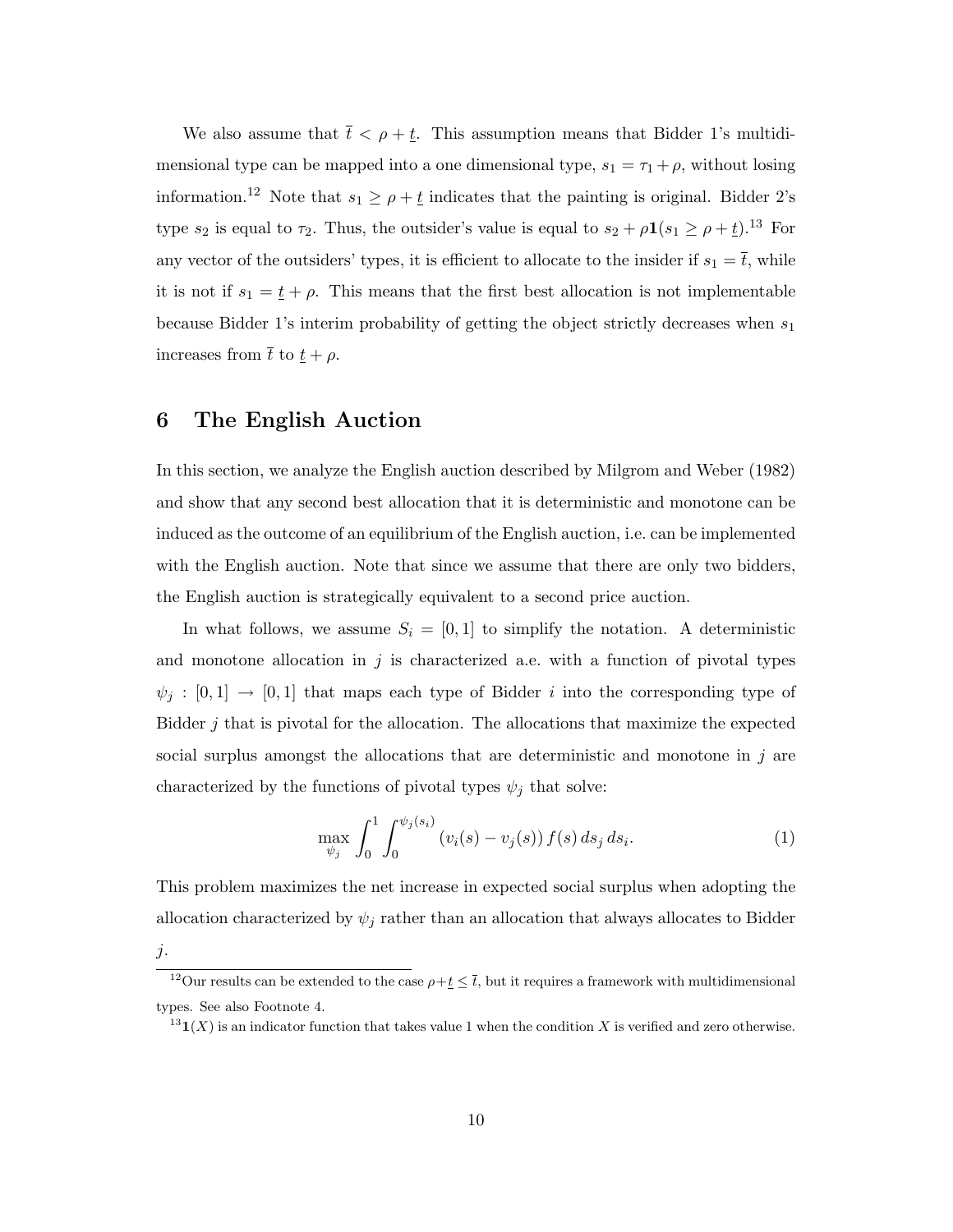We also assume that  $\bar{t} < \rho + \underline{t}$ . This assumption means that Bidder 1's multidimensional type can be mapped into a one dimensional type,  $s_1 = \tau_1 + \rho$ , without losing information.<sup>12</sup> Note that  $s_1 \ge \rho + \underline{t}$  indicates that the painting is original. Bidder 2's type  $s_2$  is equal to  $\tau_2$ . Thus, the outsider's value is equal to  $s_2 + \rho \mathbf{1}(s_1 \ge \rho + \underline{t})$ .<sup>13</sup> For any vector of the outsiders' types, it is efficient to allocate to the insider if  $s_1 = \overline{t}$ , while it is not if  $s_1 = \underline{t} + \rho$ . This means that the first best allocation is not implementable because Bidder 1's interim probability of getting the object strictly decreases when  $s_1$ increases from  $\bar{t}$  to  $\underline{t} + \rho$ .

# 6 The English Auction

In this section, we analyze the English auction described by Milgrom and Weber (1982) and show that any second best allocation that it is deterministic and monotone can be induced as the outcome of an equilibrium of the English auction, i.e. can be implemented with the English auction. Note that since we assume that there are only two bidders, the English auction is strategically equivalent to a second price auction.

In what follows, we assume  $S_i = [0, 1]$  to simplify the notation. A deterministic and monotone allocation in  $j$  is characterized a.e. with a function of pivotal types  $\psi_j : [0,1] \to [0,1]$  that maps each type of Bidder i into the corresponding type of Bidder j that is pivotal for the allocation. The allocations that maximize the expected social surplus amongst the allocations that are deterministic and monotone in j are characterized by the functions of pivotal types  $\psi_i$  that solve:

$$
\max_{\psi_j} \int_0^1 \int_0^{\psi_j(s_i)} \left( v_i(s) - v_j(s) \right) f(s) \, ds_j \, ds_i. \tag{1}
$$

This problem maximizes the net increase in expected social surplus when adopting the allocation characterized by  $\psi_j$  rather than an allocation that always allocates to Bidder j.

<sup>&</sup>lt;sup>12</sup>Our results can be extended to the case  $\rho + \underline{t} \leq \overline{t}$ , but it requires a framework with multidimensional types. See also Footnote 4.

 $131(X)$  is an indicator function that takes value 1 when the condition X is verified and zero otherwise.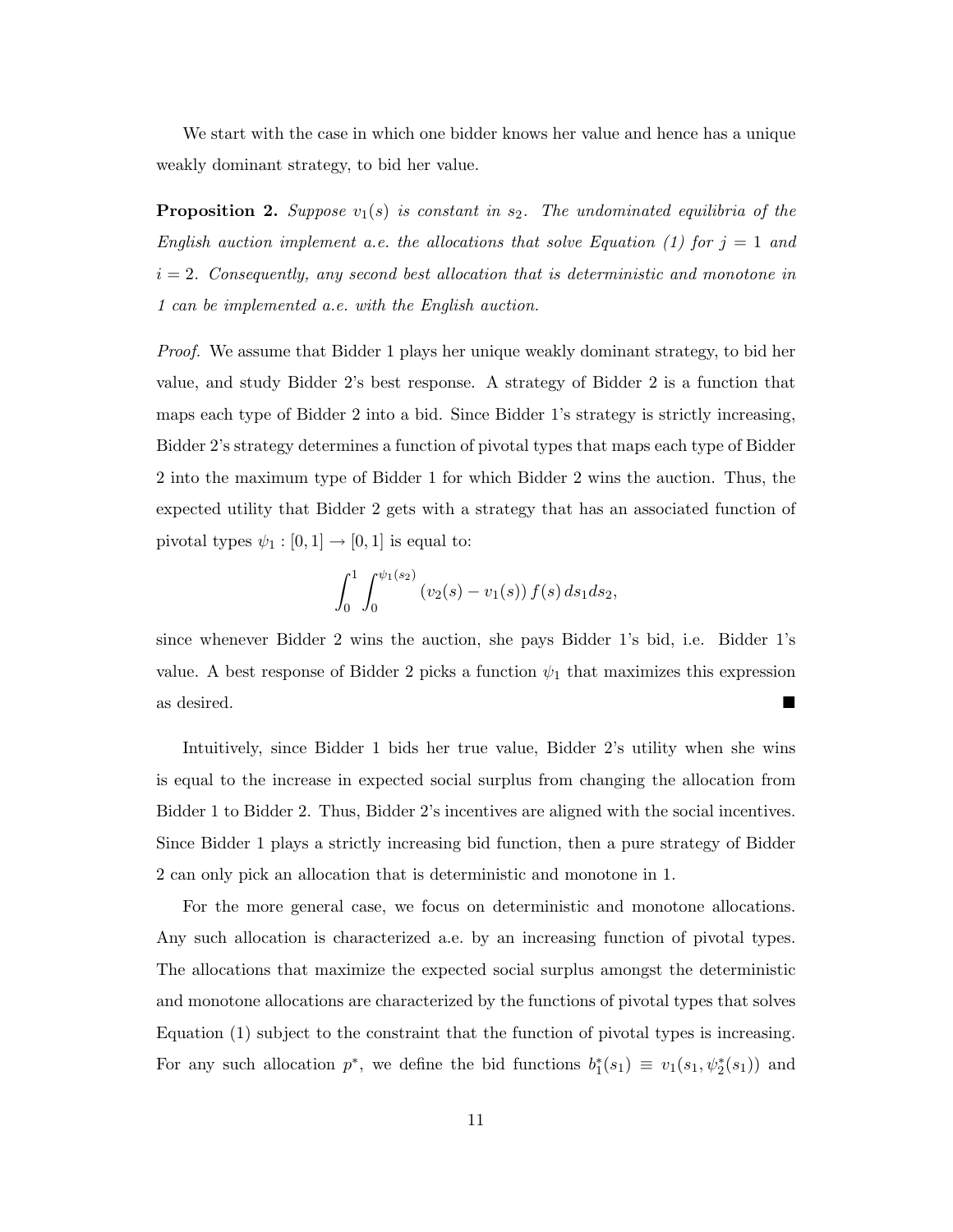We start with the case in which one bidder knows her value and hence has a unique weakly dominant strategy, to bid her value.

**Proposition 2.** Suppose  $v_1(s)$  is constant in  $s_2$ . The undominated equilibria of the English auction implement a.e. the allocations that solve Equation (1) for  $j = 1$  and  $i = 2$ . Consequently, any second best allocation that is deterministic and monotone in 1 can be implemented a.e. with the English auction.

Proof. We assume that Bidder 1 plays her unique weakly dominant strategy, to bid her value, and study Bidder 2's best response. A strategy of Bidder 2 is a function that maps each type of Bidder 2 into a bid. Since Bidder 1's strategy is strictly increasing, Bidder 2's strategy determines a function of pivotal types that maps each type of Bidder 2 into the maximum type of Bidder 1 for which Bidder 2 wins the auction. Thus, the expected utility that Bidder 2 gets with a strategy that has an associated function of pivotal types  $\psi_1 : [0, 1] \to [0, 1]$  is equal to:

$$
\int_0^1 \int_0^{\psi_1(s_2)} \left(v_2(s) - v_1(s)\right) f(s) \, ds_1 ds_2,
$$

since whenever Bidder 2 wins the auction, she pays Bidder 1's bid, i.e. Bidder 1's value. A best response of Bidder 2 picks a function  $\psi_1$  that maximizes this expression as desired.

Intuitively, since Bidder 1 bids her true value, Bidder 2's utility when she wins is equal to the increase in expected social surplus from changing the allocation from Bidder 1 to Bidder 2. Thus, Bidder 2's incentives are aligned with the social incentives. Since Bidder 1 plays a strictly increasing bid function, then a pure strategy of Bidder 2 can only pick an allocation that is deterministic and monotone in 1.

For the more general case, we focus on deterministic and monotone allocations. Any such allocation is characterized a.e. by an increasing function of pivotal types. The allocations that maximize the expected social surplus amongst the deterministic and monotone allocations are characterized by the functions of pivotal types that solves Equation (1) subject to the constraint that the function of pivotal types is increasing. For any such allocation  $p^*$ , we define the bid functions  $b_1^*(s_1) \equiv v_1(s_1, \psi_2^*(s_1))$  and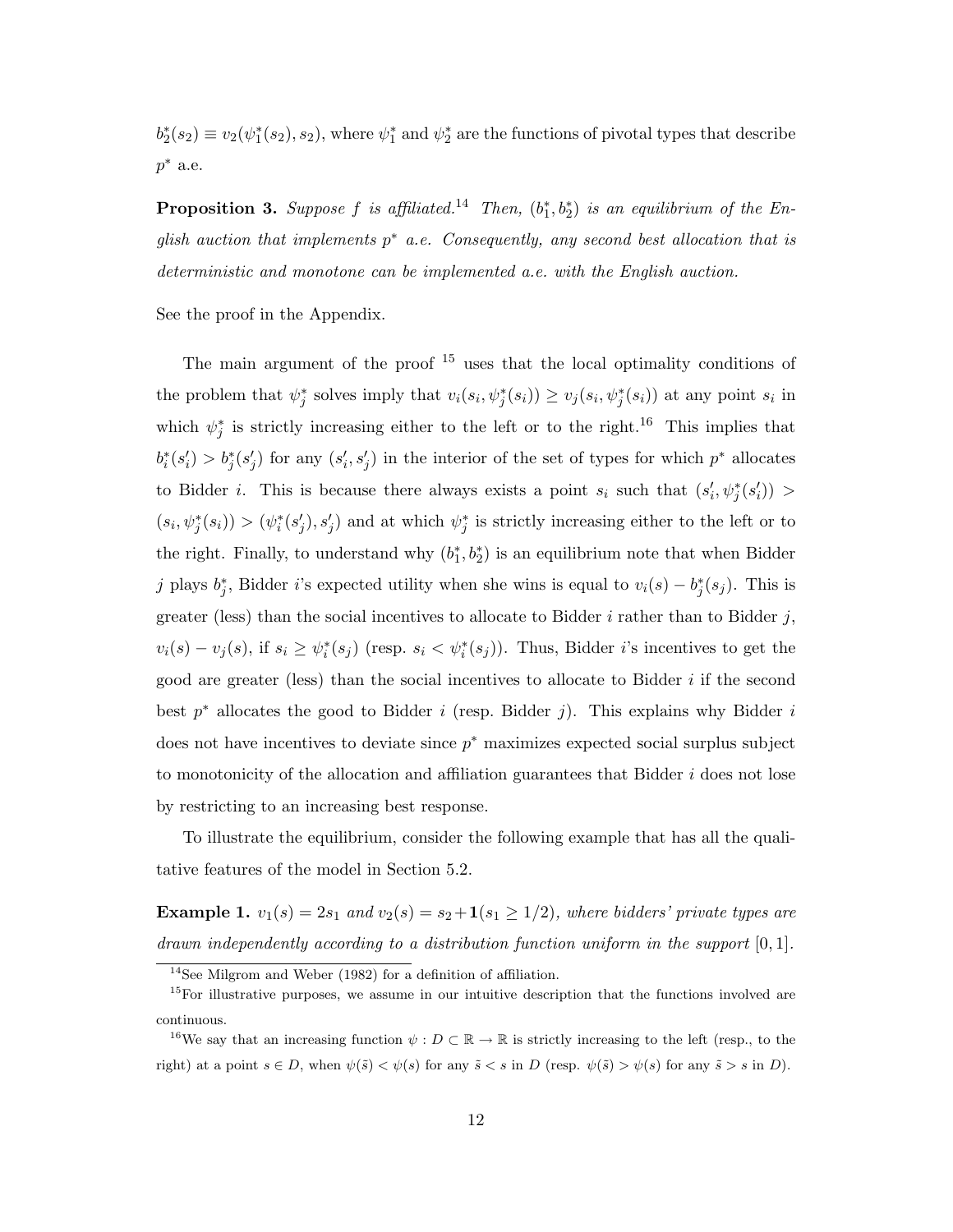$b_2^*(s_2) \equiv v_2(\psi_1^*(s_2), s_2)$ , where  $\psi_1^*$  and  $\psi_2^*$  are the functions of pivotal types that describe  $p^*$  a.e.

**Proposition 3.** Suppose f is affiliated.<sup>14</sup> Then,  $(b_1^*, b_2^*)$  is an equilibrium of the English auction that implements  $p^*$  a.e. Consequently, any second best allocation that is deterministic and monotone can be implemented a.e. with the English auction.

See the proof in the Appendix.

The main argument of the proof  $15$  uses that the local optimality conditions of the problem that  $\psi_j^*$  solves imply that  $v_i(s_i, \psi_j^*(s_i)) \ge v_j(s_i, \psi_j^*(s_i))$  at any point  $s_i$  in which  $\psi_j^*$  is strictly increasing either to the left or to the right.<sup>16</sup> This implies that  $b_i^*(s_i') > b_j^*(s_j')$  for any  $(s_i', s_j')$  in the interior of the set of types for which  $p^*$  allocates to Bidder *i*. This is because there always exists a point  $s_i$  such that  $(s'_i, \psi_j^*(s'_i))$  >  $(s_i, \psi_j^*(s_i)) > (\psi_i^*(s_j'), s_j')$  and at which  $\psi_j^*$  is strictly increasing either to the left or to the right. Finally, to understand why  $(b_1^*, b_2^*)$  is an equilibrium note that when Bidder j plays  $b_j^*$ , Bidder i's expected utility when she wins is equal to  $v_i(s) - b_j^*(s_j)$ . This is greater (less) than the social incentives to allocate to Bidder  $i$  rather than to Bidder  $j$ ,  $v_i(s) - v_j(s)$ , if  $s_i \ge \psi_i^*(s_j)$  (resp.  $s_i < \psi_i^*(s_j)$ ). Thus, Bidder *i*'s incentives to get the good are greater (less) than the social incentives to allocate to Bidder  $i$  if the second best  $p^*$  allocates the good to Bidder i (resp. Bidder j). This explains why Bidder i does not have incentives to deviate since  $p^*$  maximizes expected social surplus subject to monotonicity of the allocation and affiliation guarantees that Bidder  $i$  does not lose by restricting to an increasing best response.

To illustrate the equilibrium, consider the following example that has all the qualitative features of the model in Section 5.2.

**Example 1.**  $v_1(s) = 2s_1$  and  $v_2(s) = s_2+1(s_1 \ge 1/2)$ , where bidders' private types are drawn independently according to a distribution function uniform in the support  $[0, 1]$ .

 $14$ See Milgrom and Weber (1982) for a definition of affiliation.

 $15$ For illustrative purposes, we assume in our intuitive description that the functions involved are continuous.

<sup>&</sup>lt;sup>16</sup>We say that an increasing function  $\psi : D \subset \mathbb{R} \to \mathbb{R}$  is strictly increasing to the left (resp., to the right) at a point  $s \in D$ , when  $\psi(\tilde{s}) < \psi(s)$  for any  $\tilde{s} < s$  in D (resp.  $\psi(\tilde{s}) > \psi(s)$  for any  $\tilde{s} > s$  in D).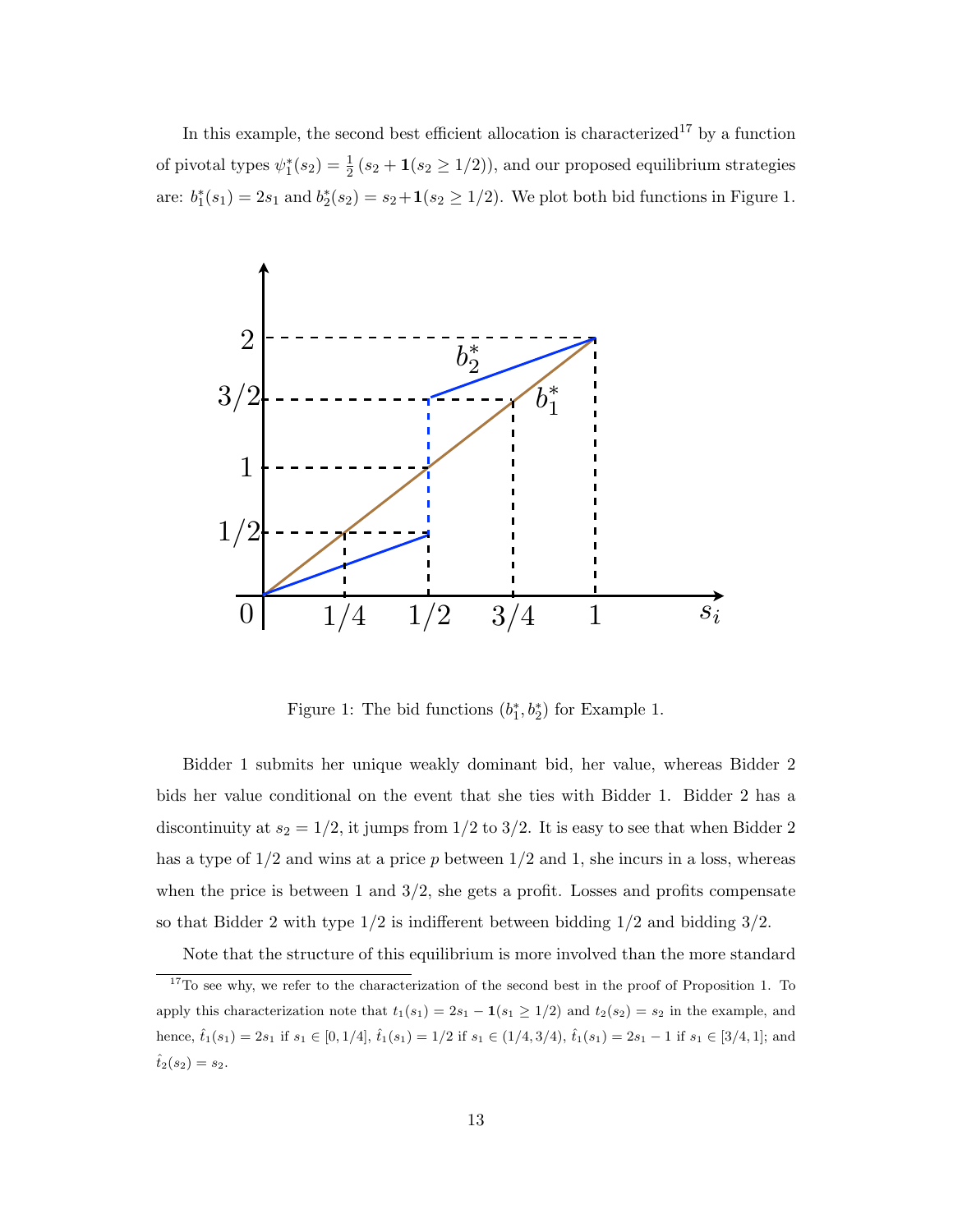In this example, the second best efficient allocation is characterized<sup>17</sup> by a function of pivotal types  $\psi_1^*(s_2) = \frac{1}{2}(s_2 + \mathbf{1}(s_2 \ge 1/2))$ , and our proposed equilibrium strategies are:  $b_1^*(s_1) = 2s_1$  and  $b_2^*(s_2) = s_2 + 1$   $(s_2 \ge 1/2)$ . We plot both bid functions in Figure 1.



Figure 1: The bid functions  $(b_1^*, b_2^*)$  for Example 1.

Bidder 1 submits her unique weakly dominant bid, her value, whereas Bidder 2 bids her value conditional on the event that she ties with Bidder 1. Bidder 2 has a discontinuity at  $s_2 = 1/2$ , it jumps from  $1/2$  to  $3/2$ . It is easy to see that when Bidder 2 has a type of  $1/2$  and wins at a price p between  $1/2$  and 1, she incurs in a loss, whereas when the price is between 1 and  $3/2$ , she gets a profit. Losses and profits compensate so that Bidder 2 with type  $1/2$  is indifferent between bidding  $1/2$  and bidding  $3/2$ .

Note that the structure of this equilibrium is more involved than the more standard

 $17$ To see why, we refer to the characterization of the second best in the proof of Proposition 1. To apply this characterization note that  $t_1(s_1) = 2s_1 - 1(s_1 \ge 1/2)$  and  $t_2(s_2) = s_2$  in the example, and hence,  $\hat{t}_1(s_1) = 2s_1$  if  $s_1 \in [0, 1/4]$ ,  $\hat{t}_1(s_1) = 1/2$  if  $s_1 \in (1/4, 3/4)$ ,  $\hat{t}_1(s_1) = 2s_1 - 1$  if  $s_1 \in [3/4, 1]$ ; and  $\hat{t}_2(s_2) = s_2.$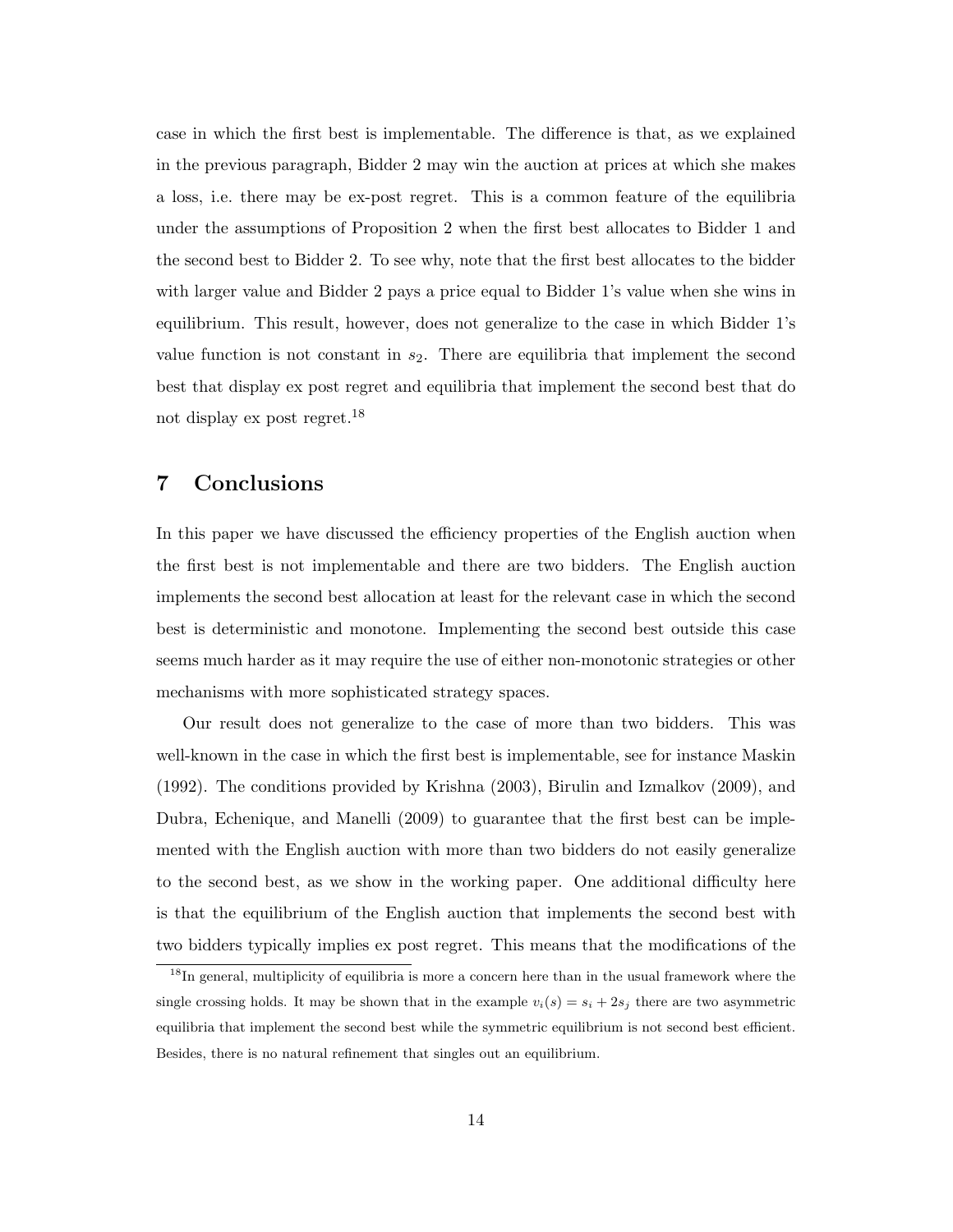case in which the first best is implementable. The difference is that, as we explained in the previous paragraph, Bidder 2 may win the auction at prices at which she makes a loss, i.e. there may be ex-post regret. This is a common feature of the equilibria under the assumptions of Proposition 2 when the first best allocates to Bidder 1 and the second best to Bidder 2. To see why, note that the first best allocates to the bidder with larger value and Bidder 2 pays a price equal to Bidder 1's value when she wins in equilibrium. This result, however, does not generalize to the case in which Bidder 1's value function is not constant in  $s_2$ . There are equilibria that implement the second best that display ex post regret and equilibria that implement the second best that do not display ex post regret.<sup>18</sup>

## 7 Conclusions

In this paper we have discussed the efficiency properties of the English auction when the first best is not implementable and there are two bidders. The English auction implements the second best allocation at least for the relevant case in which the second best is deterministic and monotone. Implementing the second best outside this case seems much harder as it may require the use of either non-monotonic strategies or other mechanisms with more sophisticated strategy spaces.

Our result does not generalize to the case of more than two bidders. This was well-known in the case in which the first best is implementable, see for instance Maskin (1992). The conditions provided by Krishna (2003), Birulin and Izmalkov (2009), and Dubra, Echenique, and Manelli (2009) to guarantee that the first best can be implemented with the English auction with more than two bidders do not easily generalize to the second best, as we show in the working paper. One additional difficulty here is that the equilibrium of the English auction that implements the second best with two bidders typically implies ex post regret. This means that the modifications of the

<sup>&</sup>lt;sup>18</sup>In general, multiplicity of equilibria is more a concern here than in the usual framework where the single crossing holds. It may be shown that in the example  $v_i(s) = s_i + 2s_j$  there are two asymmetric equilibria that implement the second best while the symmetric equilibrium is not second best efficient. Besides, there is no natural refinement that singles out an equilibrium.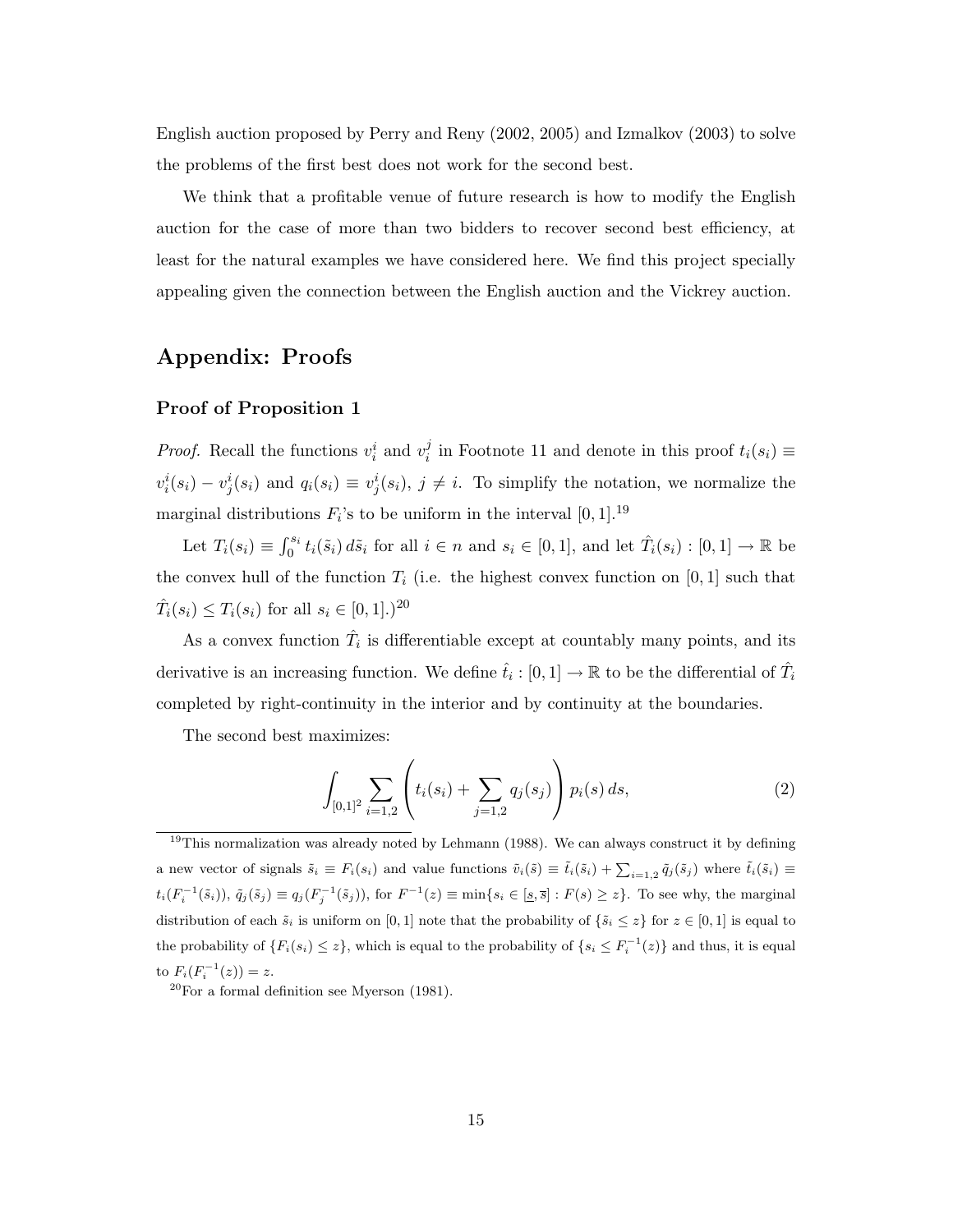English auction proposed by Perry and Reny (2002, 2005) and Izmalkov (2003) to solve the problems of the first best does not work for the second best.

We think that a profitable venue of future research is how to modify the English auction for the case of more than two bidders to recover second best efficiency, at least for the natural examples we have considered here. We find this project specially appealing given the connection between the English auction and the Vickrey auction.

# Appendix: Proofs

#### Proof of Proposition 1

*Proof.* Recall the functions  $v_i^i$  and  $v_i^j$  $i_i$  in Footnote 11 and denote in this proof  $t_i(s_i) \equiv$  $v_i^i(s_i) - v_j^i(s_i)$  and  $q_i(s_i) \equiv v_j^i(s_i)$ ,  $j \neq i$ . To simplify the notation, we normalize the marginal distributions  $F_i$ 's to be uniform in the interval  $[0, 1]$ .<sup>19</sup>

Let  $T_i(s_i) \equiv \int_0^{s_i} t_i(\tilde{s}_i) d\tilde{s}_i$  for all  $i \in n$  and  $s_i \in [0,1]$ , and let  $\hat{T}_i(s_i) : [0,1] \to \mathbb{R}$  be the convex hull of the function  $T_i$  (i.e. the highest convex function on [0, 1] such that  $\hat{T}_i(s_i) \leq T_i(s_i)$  for all  $s_i \in [0, 1].$ )<sup>20</sup>

As a convex function  $\hat{T}_i$  is differentiable except at countably many points, and its derivative is an increasing function. We define  $\hat{t}_i : [0,1] \to \mathbb{R}$  to be the differential of  $\hat{T}_i$ completed by right-continuity in the interior and by continuity at the boundaries.

The second best maximizes:

$$
\int_{[0,1]^2} \sum_{i=1,2} \left( t_i(s_i) + \sum_{j=1,2} q_j(s_j) \right) p_i(s) ds,
$$
\n(2)

 $19$ This normalization was already noted by Lehmann (1988). We can always construct it by defining a new vector of signals  $\tilde{s}_i \equiv F_i(s_i)$  and value functions  $\tilde{v}_i(\tilde{s}) \equiv \tilde{t}_i(\tilde{s}_i) + \sum_{i=1,2} \tilde{q}_i(\tilde{s}_j)$  where  $\tilde{t}_i(\tilde{s}_i) \equiv$  $t_i(F_i^{-1}(\tilde{s}_i)), \tilde{q}_j(\tilde{s}_j) \equiv q_j(F_j^{-1}(\tilde{s}_j)),$  for  $F^{-1}(z) \equiv \min\{s_i \in [\underline{s}, \overline{s}] : F(s) \geq z\}$ . To see why, the marginal distribution of each  $\tilde{s}_i$  is uniform on [0, 1] note that the probability of  $\{\tilde{s}_i \leq z\}$  for  $z \in [0,1]$  is equal to the probability of  $\{F_i(s_i) \leq z\}$ , which is equal to the probability of  $\{s_i \leq F_i^{-1}(z)\}$  and thus, it is equal to  $F_i(F_i^{-1}(z)) = z$ .

 $^{20}$ For a formal definition see Myerson (1981).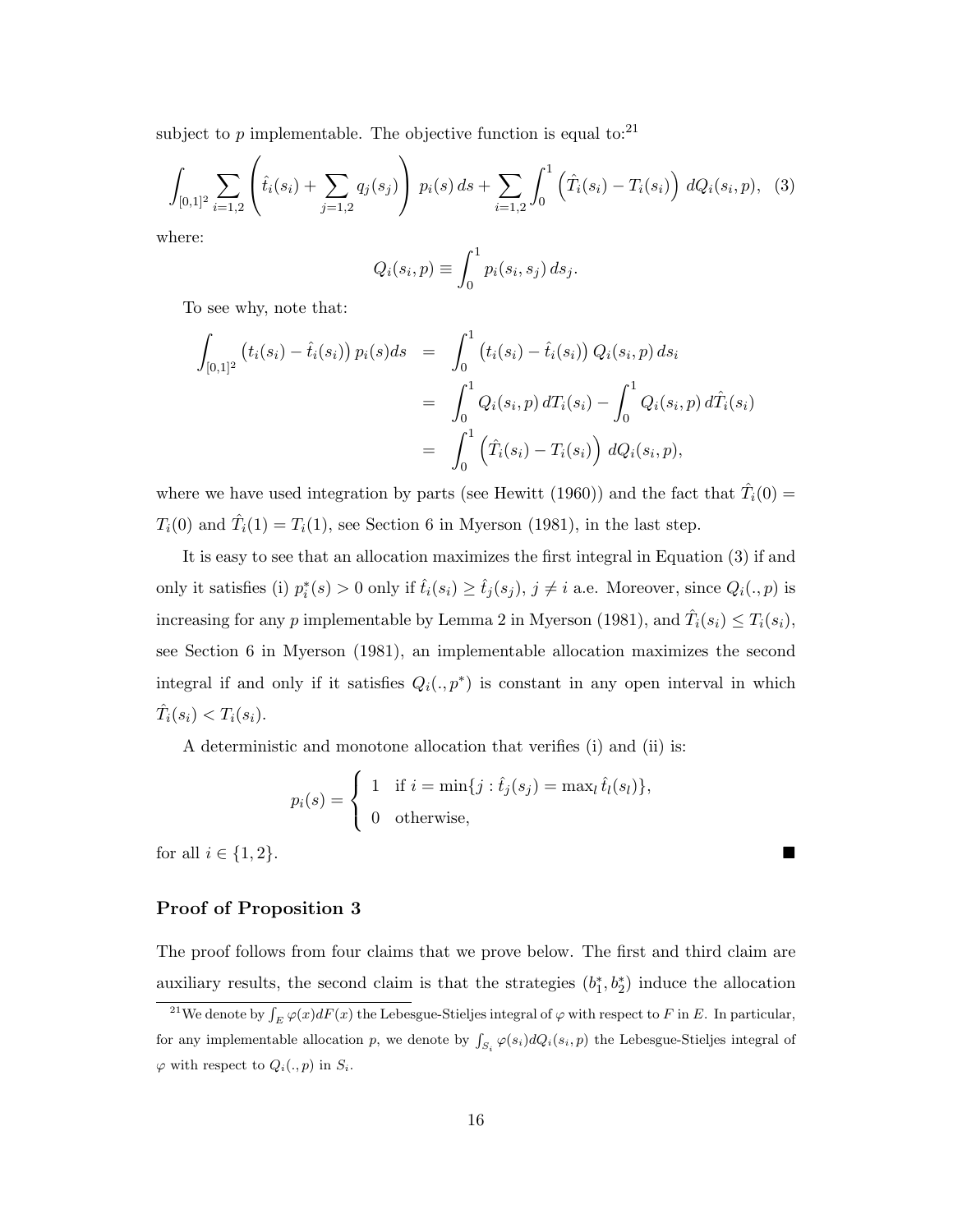subject to p implementable. The objective function is equal to:  $2<sup>1</sup>$ 

$$
\int_{[0,1]^2} \sum_{i=1,2} \left( \hat{t}_i(s_i) + \sum_{j=1,2} q_j(s_j) \right) p_i(s) ds + \sum_{i=1,2} \int_0^1 \left( \hat{T}_i(s_i) - T_i(s_i) \right) dQ_i(s_i, p), \tag{3}
$$

where:

$$
Q_i(s_i, p) \equiv \int_0^1 p_i(s_i, s_j) \, ds_j.
$$

To see why, note that:

$$
\int_{[0,1]^2} (t_i(s_i) - \hat{t}_i(s_i)) p_i(s) ds = \int_0^1 (t_i(s_i) - \hat{t}_i(s_i)) Q_i(s_i, p) ds_i
$$
  
= 
$$
\int_0^1 Q_i(s_i, p) dT_i(s_i) - \int_0^1 Q_i(s_i, p) d\hat{T}_i(s_i)
$$
  
= 
$$
\int_0^1 (\hat{T}_i(s_i) - T_i(s_i)) dQ_i(s_i, p),
$$

where we have used integration by parts (see Hewitt (1960)) and the fact that  $\hat{T}_i(0)$  =  $T_i(0)$  and  $\hat{T}_i(1) = T_i(1)$ , see Section 6 in Myerson (1981), in the last step.

It is easy to see that an allocation maximizes the first integral in Equation (3) if and only it satisfies (i)  $p_i^*(s) > 0$  only if  $\hat{t}_i(s_i) \ge \hat{t}_j(s_j)$ ,  $j \ne i$  a.e. Moreover, since  $Q_i(.,p)$  is increasing for any p implementable by Lemma 2 in Myerson (1981), and  $\hat{T}_i(s_i) \leq T_i(s_i)$ , see Section 6 in Myerson (1981), an implementable allocation maximizes the second integral if and only if it satisfies  $Q_i(., p^*)$  is constant in any open interval in which  $\hat{T}_i(s_i) < T_i(s_i)$ .

A deterministic and monotone allocation that verifies (i) and (ii) is:

$$
p_i(s) = \begin{cases} 1 & \text{if } i = \min\{j : \hat{t}_j(s_j) = \max_l \hat{t}_l(s_l)\}, \\ 0 & \text{otherwise,} \end{cases}
$$

for all  $i \in \{1, 2\}$ .

#### Proof of Proposition 3

The proof follows from four claims that we prove below. The first and third claim are auxiliary results, the second claim is that the strategies  $(b_1^*, b_2^*)$  induce the allocation

<sup>&</sup>lt;sup>21</sup>We denote by  $\int_E \varphi(x)dF(x)$  the Lebesgue-Stieljes integral of  $\varphi$  with respect to F in E. In particular, for any implementable allocation p, we denote by  $\int_{S_i} \varphi(s_i) dQ_i(s_i, p)$  the Lebesgue-Stieljes integral of  $\varphi$  with respect to  $Q_i(.,p)$  in  $S_i$ .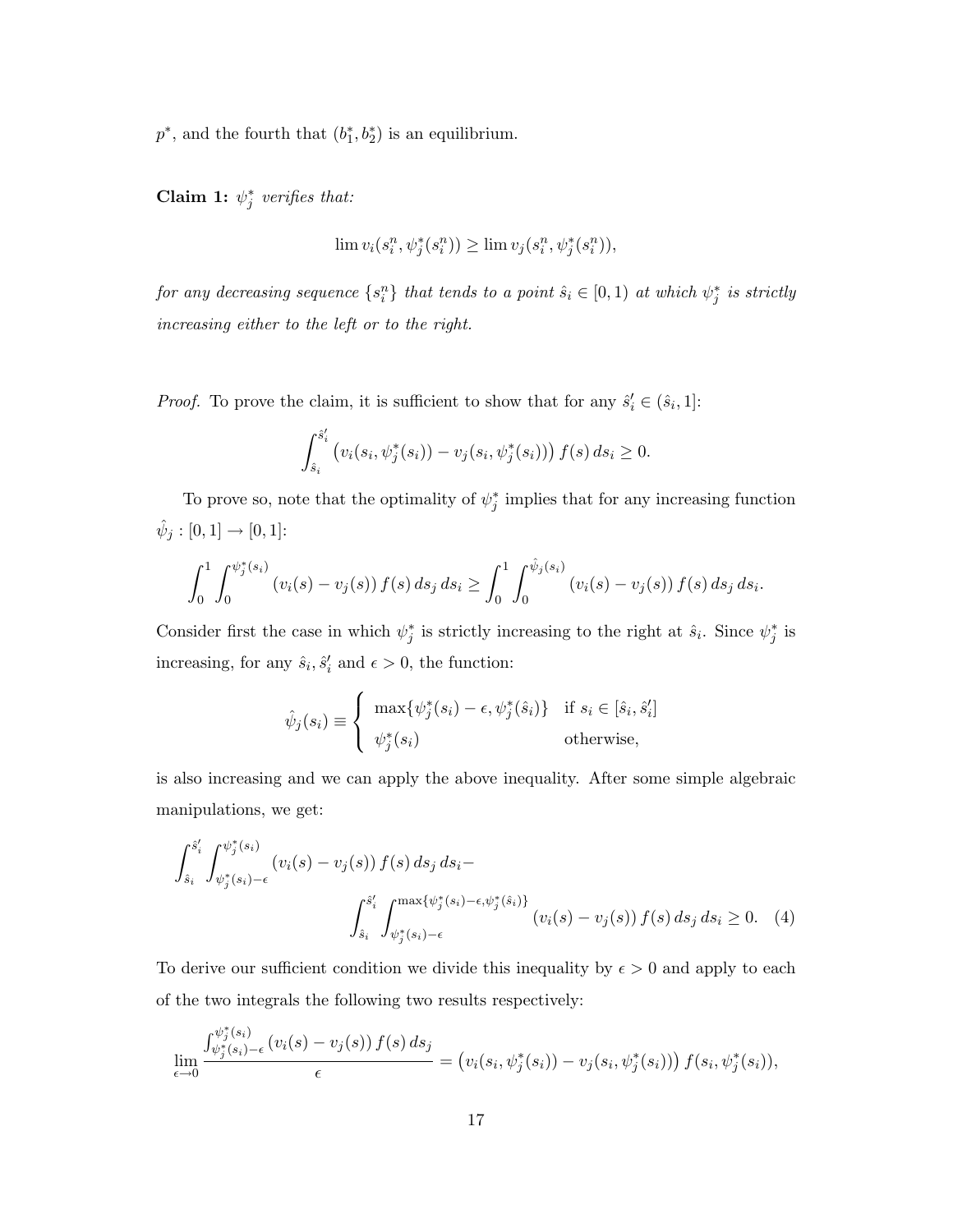$p^*$ , and the fourth that  $(b_1^*, b_2^*)$  is an equilibrium.

Claim 1:  $\psi_j^*$  verifies that:

$$
\lim v_i(s_i^n, \psi_j^*(s_i^n)) \ge \lim v_j(s_i^n, \psi_j^*(s_i^n)),
$$

for any decreasing sequence  $\{s_i^n\}$  that tends to a point  $\hat{s}_i \in [0,1)$  at which  $\psi_j^*$  is strictly increasing either to the left or to the right.

*Proof.* To prove the claim, it is sufficient to show that for any  $\hat{s}'_i \in (\hat{s}_i, 1]$ :

$$
\int_{\hat{s}_i}^{\hat{s}'_i} \left( v_i(s_i, \psi_j^*(s_i)) - v_j(s_i, \psi_j^*(s_i)) \right) f(s) \, ds_i \ge 0.
$$

To prove so, note that the optimality of  $\psi_j^*$  implies that for any increasing function  $\hat{\psi}_j : [0,1] \to [0,1]$ :

$$
\int_0^1 \int_0^{\psi_j^*(s_i)} \left( v_i(s) - v_j(s) \right) f(s) \, ds_j \, ds_i \ge \int_0^1 \int_0^{\hat{\psi}_j(s_i)} \left( v_i(s) - v_j(s) \right) f(s) \, ds_j \, ds_i.
$$

Consider first the case in which  $\psi_j^*$  is strictly increasing to the right at  $\hat{s}_i$ . Since  $\psi_j^*$  is increasing, for any  $\hat{s}_i$ ,  $\hat{s}'_i$  and  $\epsilon > 0$ , the function:

$$
\hat{\psi}_j(s_i) \equiv \begin{cases} \max\{\psi_j^*(s_i) - \epsilon, \psi_j^*(\hat{s}_i)\} & \text{if } s_i \in [\hat{s}_i, \hat{s}_i'] \\ \psi_j^*(s_i) & \text{otherwise,} \end{cases}
$$

is also increasing and we can apply the above inequality. After some simple algebraic manipulations, we get:

$$
\int_{\hat{s}_i}^{\hat{s}'_i} \int_{\psi_j^*(s_i) - \epsilon}^{\psi_j^*(s_i)} (v_i(s) - v_j(s)) f(s) ds_j ds_i - \int_{\hat{s}_i}^{\hat{s}'_i} \int_{\psi_j^*(s_i) - \epsilon}^{\max\{\psi_j^*(s_i) - \epsilon, \psi_j^*(\hat{s}_i)\}} (v_i(s) - v_j(s)) f(s) ds_j ds_i \ge 0. \tag{4}
$$

To derive our sufficient condition we divide this inequality by  $\epsilon > 0$  and apply to each of the two integrals the following two results respectively:

$$
\lim_{\epsilon \to 0} \frac{\int_{\psi_j^*(s_i) - \epsilon}^{\psi_j^*(s_i)} (v_i(s) - v_j(s)) f(s) ds_j}{\epsilon} = (v_i(s_i, \psi_j^*(s_i)) - v_j(s_i, \psi_j^*(s_i))) f(s_i, \psi_j^*(s_i)),
$$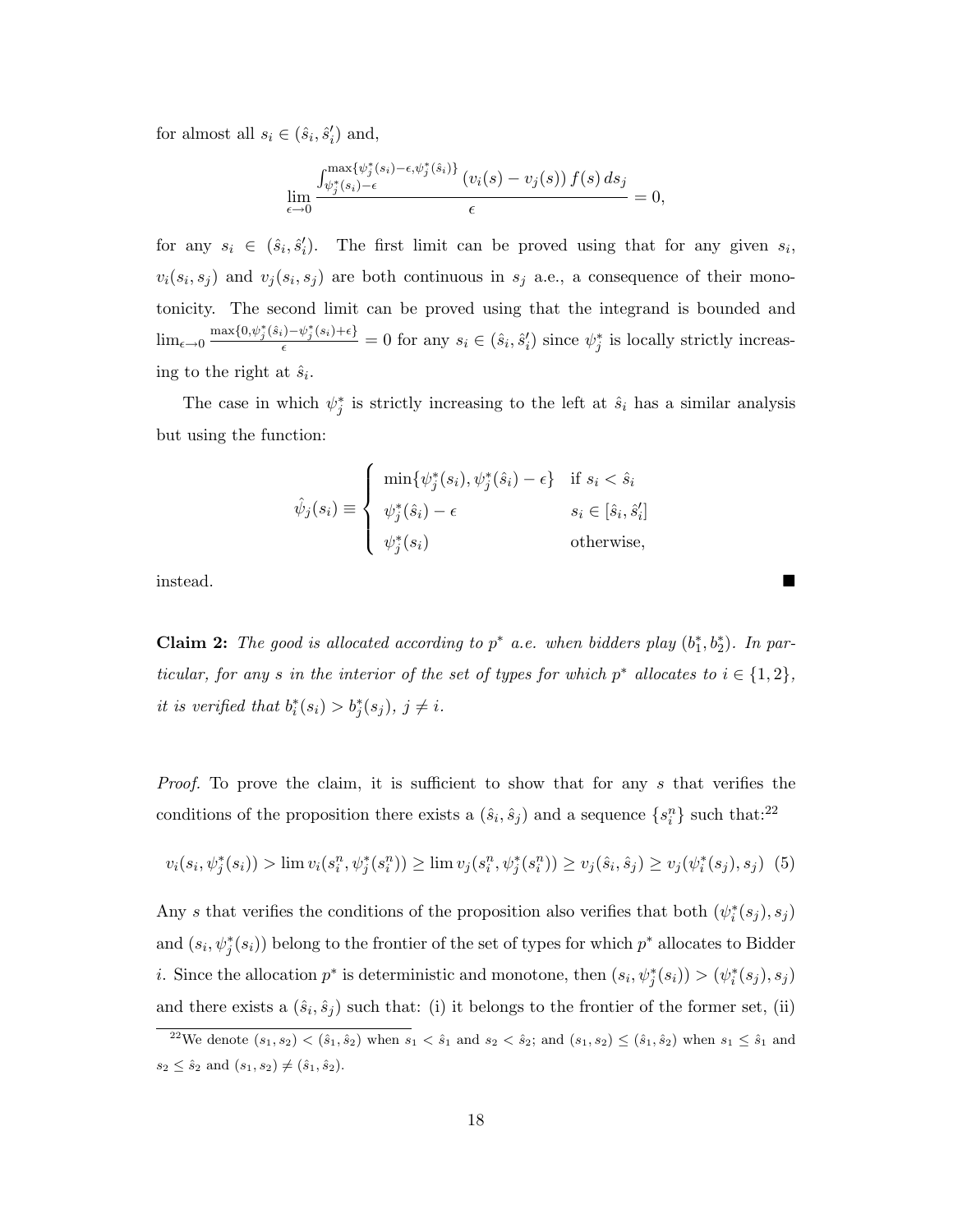for almost all  $s_i \in (\hat{s}_i, \hat{s}'_i)$  and,

$$
\lim_{\epsilon \to 0} \frac{\int_{\psi_j^*(s_i) - \epsilon}^{\max\{\psi_j^*(s_i) - \epsilon, \psi_j^*(\hat{s}_i)\}} (v_i(s) - v_j(s)) f(s) ds_j}{\epsilon} = 0,
$$

for any  $s_i \in (\hat{s}_i, \hat{s}'_i)$ . The first limit can be proved using that for any given  $s_i$ ,  $v_i(s_i, s_j)$  and  $v_j(s_i, s_j)$  are both continuous in  $s_j$  a.e., a consequence of their monotonicity. The second limit can be proved using that the integrand is bounded and  $\lim_{\epsilon \to 0} \frac{\max\{0, \psi_j^*(\hat{s}_i) - \psi_j^*(s_i) + \epsilon\}}{\epsilon} = 0$  for any  $s_i \in (\hat{s}_i, \hat{s}'_i)$  since  $\psi_j^*$  is locally strictly increasing to the right at  $\hat{s}_i$ .

The case in which  $\psi_j^*$  is strictly increasing to the left at  $\hat{s}_i$  has a similar analysis but using the function:

$$
\hat{\psi}_j(s_i) \equiv \begin{cases}\n\min\{\psi_j^*(s_i), \psi_j^*(\hat{s}_i) - \epsilon\} & \text{if } s_i < \hat{s}_i \\
\psi_j^*(\hat{s}_i) - \epsilon & s_i \in [\hat{s}_i, \hat{s}_i'] \\
\psi_j^*(s_i) & \text{otherwise,} \n\end{cases}
$$

instead.

**Claim 2:** The good is allocated according to  $p^*$  a.e. when bidders play  $(b_1^*, b_2^*)$ . In particular, for any s in the interior of the set of types for which  $p^*$  allocates to  $i \in \{1,2\}$ , it is verified that  $b_i^*(s_i) > b_j^*(s_j)$ ,  $j \neq i$ .

Proof. To prove the claim, it is sufficient to show that for any s that verifies the conditions of the proposition there exists a  $(\hat{s}_i, \hat{s}_j)$  and a sequence  $\{s_i^n\}$  such that:<sup>22</sup>

$$
v_i(s_i, \psi_j^*(s_i)) > \lim v_i(s_i^n, \psi_j^*(s_i^n)) \ge \lim v_j(s_i^n, \psi_j^*(s_i^n)) \ge v_j(\hat{s}_i, \hat{s}_j) \ge v_j(\psi_i^*(s_j), s_j) \tag{5}
$$

Any s that verifies the conditions of the proposition also verifies that both  $(\psi_i^*(s_j), s_j)$ and  $(s_i, \psi_j^*(s_i))$  belong to the frontier of the set of types for which  $p^*$  allocates to Bidder *i*. Since the allocation  $p^*$  is deterministic and monotone, then  $(s_i, \psi_j^*(s_i)) > (\psi_i^*(s_j), s_j)$ and there exists a  $(\hat{s}_i, \hat{s}_j)$  such that: (i) it belongs to the frontier of the former set, (ii)

<sup>&</sup>lt;sup>22</sup>We denote  $(s_1, s_2) < (\hat{s}_1, \hat{s}_2)$  when  $s_1 < \hat{s}_1$  and  $s_2 < \hat{s}_2$ ; and  $(s_1, s_2) \le (\hat{s}_1, \hat{s}_2)$  when  $s_1 \le \hat{s}_1$  and  $s_2 \leq \hat{s}_2$  and  $(s_1, s_2) \neq (\hat{s}_1, \hat{s}_2)$ .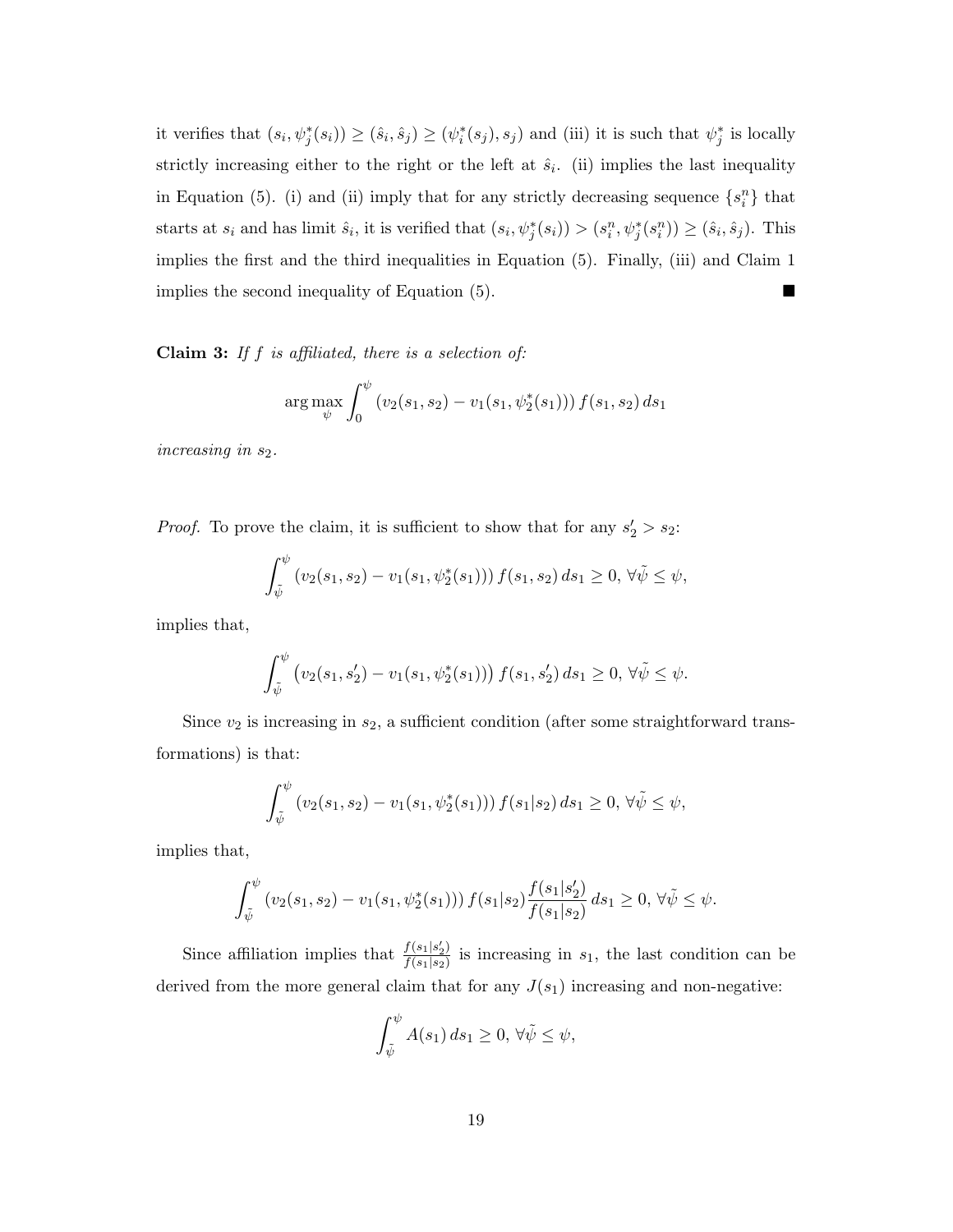it verifies that  $(s_i, \psi_j^*(s_i)) \geq (\hat{s}_i, \hat{s}_j) \geq (\psi_i^*(s_j), s_j)$  and (iii) it is such that  $\psi_j^*$  is locally strictly increasing either to the right or the left at  $\hat{s}_i$ . (ii) implies the last inequality in Equation (5). (i) and (ii) imply that for any strictly decreasing sequence  $\{s_i^n\}$  that starts at  $s_i$  and has limit  $\hat{s}_i$ , it is verified that  $(s_i, \psi_j^*(s_i)) > (s_i^n, \psi_j^*(s_i^n)) \ge (\hat{s}_i, \hat{s}_j)$ . This implies the first and the third inequalities in Equation (5). Finally, (iii) and Claim 1 implies the second inequality of Equation (5).

**Claim 3:** If  $f$  is affiliated, there is a selection of:

$$
\arg\max_{\psi} \int_0^{\psi} \left( v_2(s_1, s_2) - v_1(s_1, \psi_2^*(s_1)) \right) f(s_1, s_2) \, ds_1
$$

increasing in  $s_2$ .

*Proof.* To prove the claim, it is sufficient to show that for any  $s'_2 > s_2$ :

$$
\int_{\tilde{\psi}}^{\psi} \left( v_2(s_1, s_2) - v_1(s_1, \psi_2^*(s_1)) \right) f(s_1, s_2) \, ds_1 \geq 0, \, \forall \tilde{\psi} \leq \psi,
$$

implies that,

$$
\int_{\tilde{\psi}}^{\psi} \left( v_2(s_1, s_2') - v_1(s_1, \psi_2^*(s_1)) \right) f(s_1, s_2') ds_1 \geq 0, \forall \tilde{\psi} \leq \psi.
$$

Since  $v_2$  is increasing in  $s_2$ , a sufficient condition (after some straightforward transformations) is that:

$$
\int_{\tilde{\psi}}^{\psi} \left( v_2(s_1, s_2) - v_1(s_1, \psi_2^*(s_1)) \right) f(s_1|s_2) \, ds_1 \geq 0, \, \forall \tilde{\psi} \leq \psi,
$$

implies that,

$$
\int_{\tilde{\psi}}^{\psi} \left( v_2(s_1, s_2) - v_1(s_1, \psi_2^*(s_1)) \right) f(s_1|s_2) \frac{f(s_1|s_2')}{f(s_1|s_2)} ds_1 \ge 0, \forall \tilde{\psi} \le \psi.
$$

Since affiliation implies that  $\frac{f(s_1|s'_2)}{f(s_1|s_2)}$  $\frac{f(s_1|s_2)}{f(s_1|s_2)}$  is increasing in  $s_1$ , the last condition can be derived from the more general claim that for any  $J(s_1)$  increasing and non-negative:

$$
\int_{\tilde{\psi}}^{\psi} A(s_1) ds_1 \geq 0, \forall \tilde{\psi} \leq \psi,
$$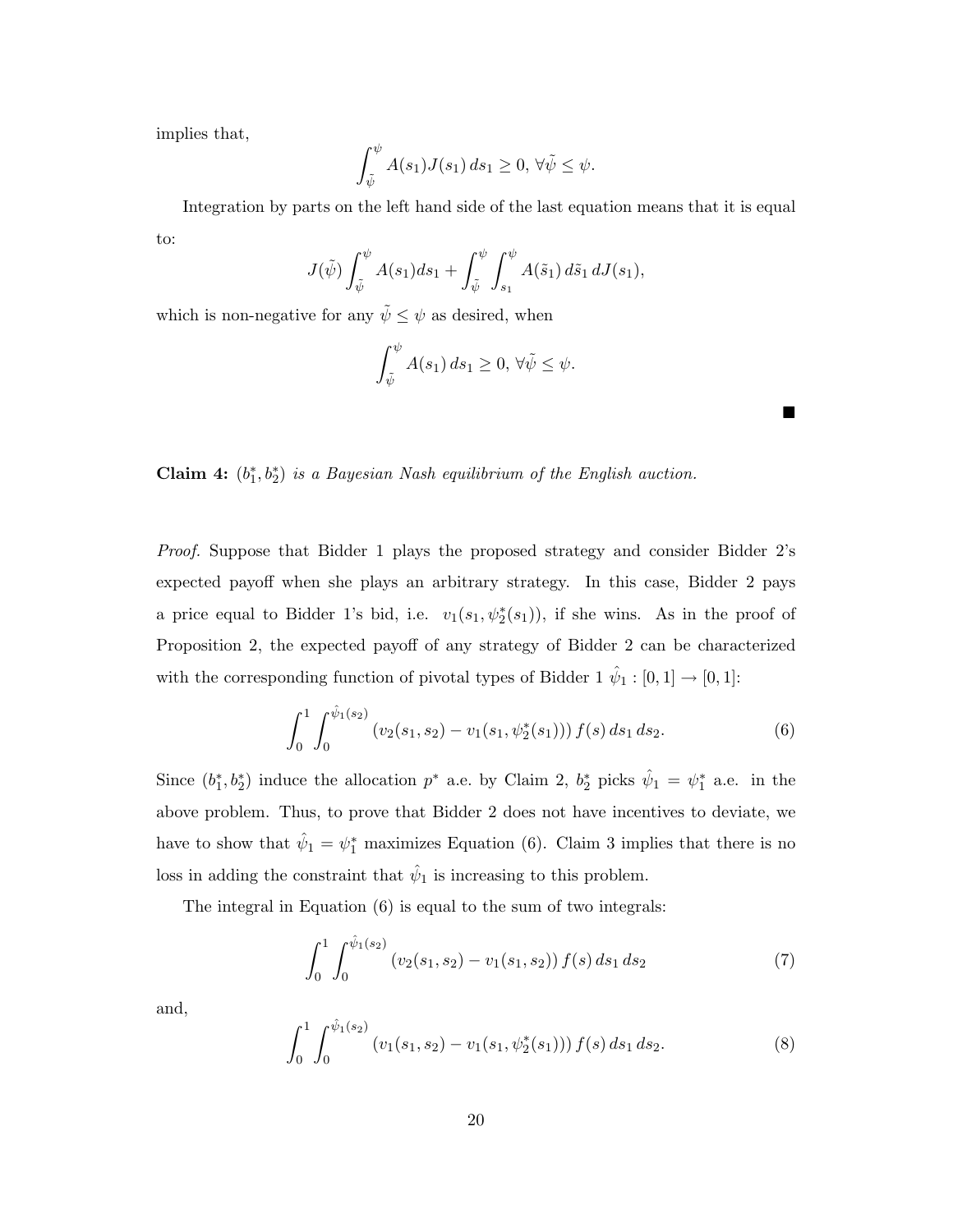implies that,

$$
\int_{\tilde{\psi}}^{\psi} A(s_1) J(s_1) ds_1 \geq 0, \forall \tilde{\psi} \leq \psi.
$$

Integration by parts on the left hand side of the last equation means that it is equal to:

$$
J(\tilde{\psi})\int_{\tilde{\psi}}^{\psi}A(s_1)ds_1+\int_{\tilde{\psi}}^{\psi}\int_{s_1}^{\psi}A(\tilde{s}_1)\,d\tilde{s}_1\,dJ(s_1),
$$

which is non-negative for any  $\tilde{\psi} \leq \psi$  as desired, when

$$
\int_{\tilde{\psi}}^{\psi} A(s_1) ds_1 \ge 0, \forall \tilde{\psi} \le \psi.
$$

Claim 4:  $(b_1^*, b_2^*)$  is a Bayesian Nash equilibrium of the English auction.

Proof. Suppose that Bidder 1 plays the proposed strategy and consider Bidder 2's expected payoff when she plays an arbitrary strategy. In this case, Bidder 2 pays a price equal to Bidder 1's bid, i.e.  $v_1(s_1, \psi_2^*(s_1))$ , if she wins. As in the proof of Proposition 2, the expected payoff of any strategy of Bidder 2 can be characterized with the corresponding function of pivotal types of Bidder 1  $\hat{\psi}_1 : [0,1] \rightarrow [0,1]$ :

$$
\int_0^1 \int_0^{\hat{\psi}_1(s_2)} \left( v_2(s_1, s_2) - v_1(s_1, \psi_2^*(s_1)) \right) f(s) \, ds_1 \, ds_2. \tag{6}
$$

ш

Since  $(b_1^*, b_2^*)$  induce the allocation  $p^*$  a.e. by Claim 2,  $b_2^*$  picks  $\hat{\psi}_1 = \psi_1^*$  a.e. in the above problem. Thus, to prove that Bidder 2 does not have incentives to deviate, we have to show that  $\hat{\psi}_1 = \psi_1^*$  maximizes Equation (6). Claim 3 implies that there is no loss in adding the constraint that  $\hat{\psi}_1$  is increasing to this problem.

The integral in Equation (6) is equal to the sum of two integrals:

$$
\int_0^1 \int_0^{\hat{\psi}_1(s_2)} \left( v_2(s_1, s_2) - v_1(s_1, s_2) \right) f(s) \, ds_1 \, ds_2 \tag{7}
$$

and,

$$
\int_0^1 \int_0^{\hat{\psi}_1(s_2)} \left( v_1(s_1, s_2) - v_1(s_1, \psi_2^*(s_1)) \right) f(s) \, ds_1 \, ds_2. \tag{8}
$$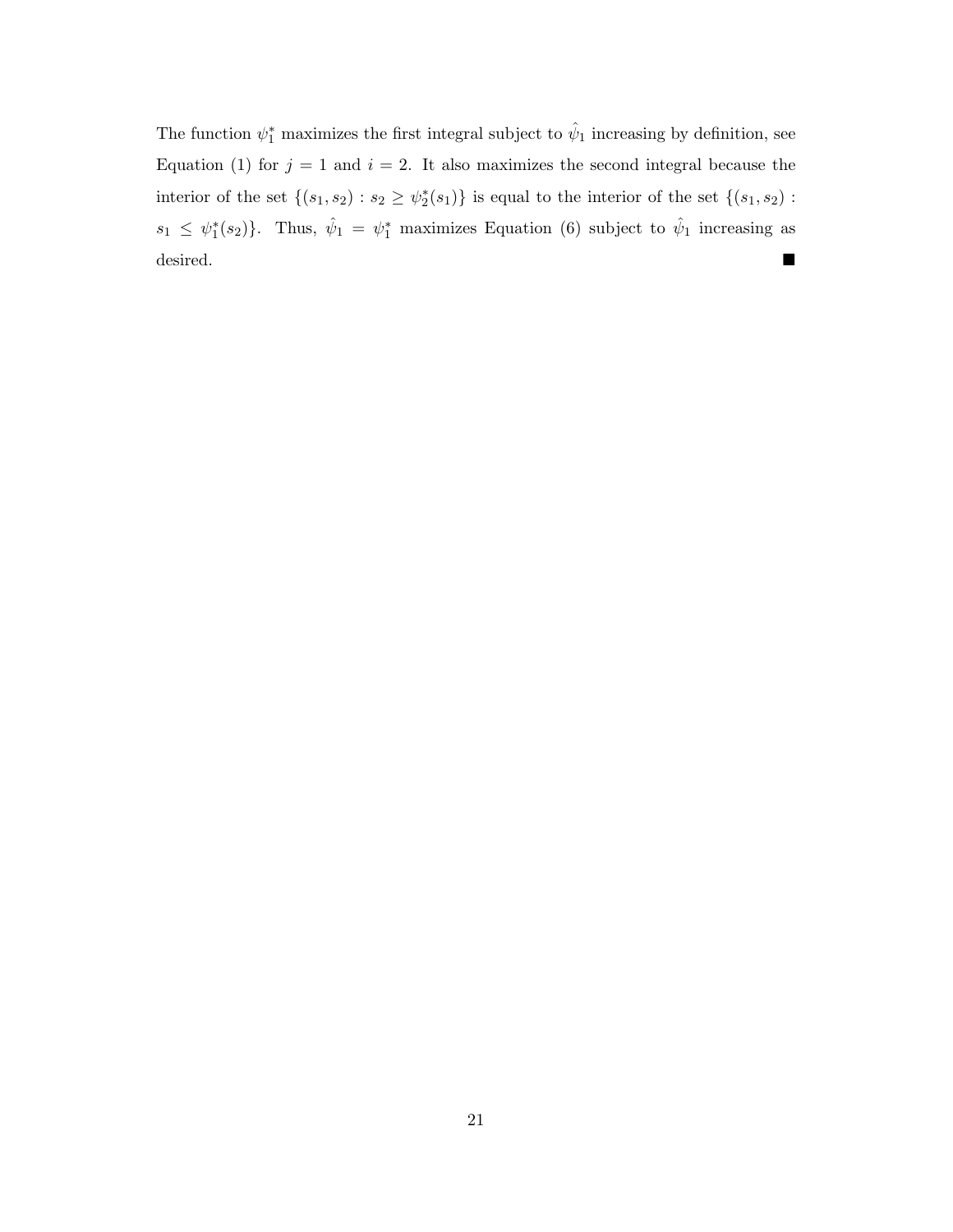The function  $\psi_1^*$  maximizes the first integral subject to  $\hat{\psi}_1$  increasing by definition, see Equation (1) for  $j = 1$  and  $i = 2$ . It also maximizes the second integral because the interior of the set  $\{(s_1, s_2) : s_2 \geq \psi_2^*(s_1)\}$  is equal to the interior of the set  $\{(s_1, s_2) : s_2 \geq \psi_2^*(s_1)\}$  $s_1 \leq \psi_1^*(s_2)$ . Thus,  $\hat{\psi}_1 = \psi_1^*$  maximizes Equation (6) subject to  $\hat{\psi}_1$  increasing as desired.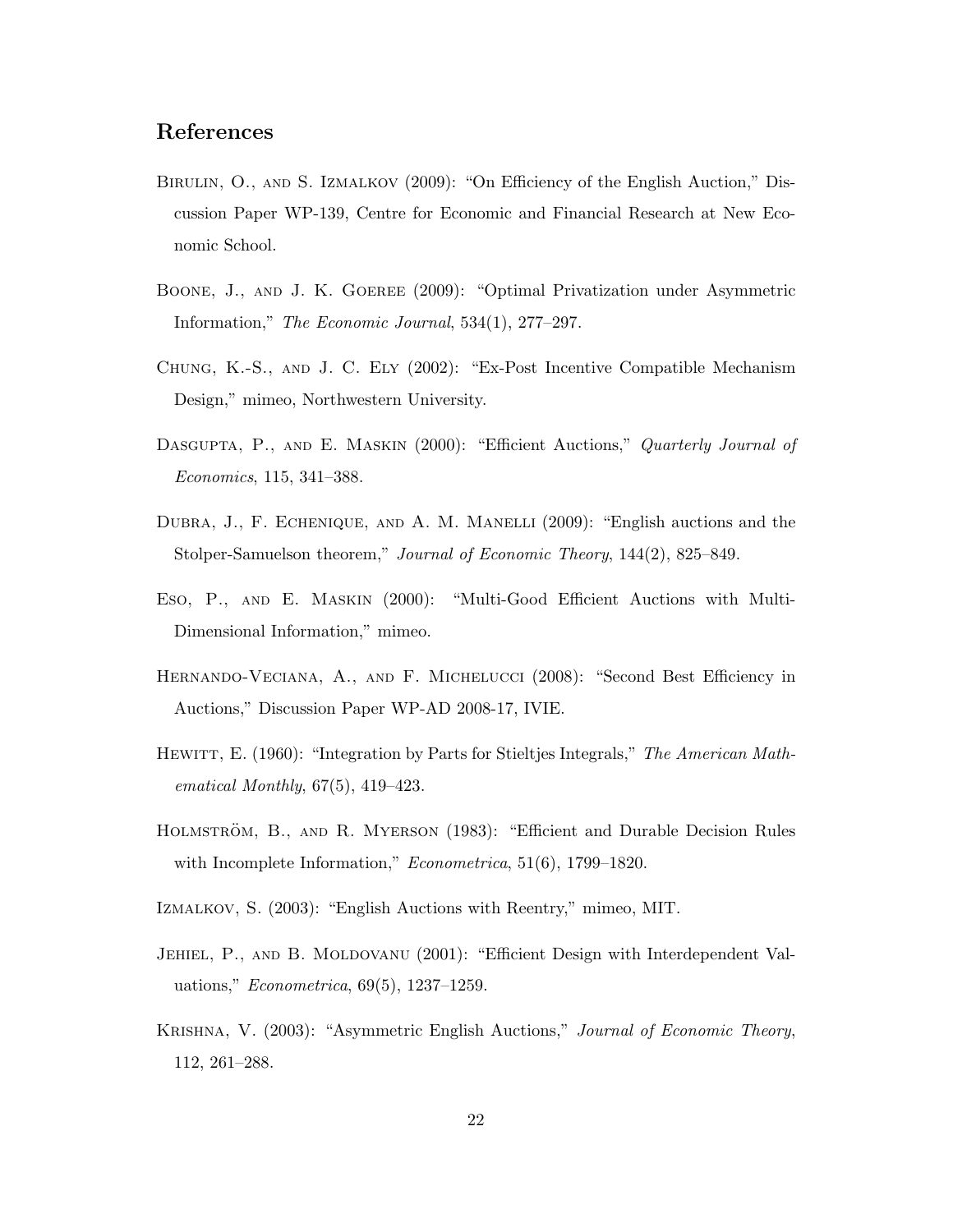# References

- BIRULIN, O., AND S. IZMALKOV (2009): "On Efficiency of the English Auction," Discussion Paper WP-139, Centre for Economic and Financial Research at New Economic School.
- Boone, J., and J. K. Goeree (2009): "Optimal Privatization under Asymmetric Information," The Economic Journal, 534(1), 277–297.
- Chung, K.-S., and J. C. Ely (2002): "Ex-Post Incentive Compatible Mechanism Design," mimeo, Northwestern University.
- DASGUPTA, P., AND E. MASKIN (2000): "Efficient Auctions," Quarterly Journal of Economics, 115, 341–388.
- Dubra, J., F. Echenique, and A. M. Manelli (2009): "English auctions and the Stolper-Samuelson theorem," Journal of Economic Theory, 144(2), 825–849.
- Eso, P., and E. Maskin (2000): "Multi-Good Efficient Auctions with Multi-Dimensional Information," mimeo.
- Hernando-Veciana, A., and F. Michelucci (2008): "Second Best Efficiency in Auctions," Discussion Paper WP-AD 2008-17, IVIE.
- HEWITT, E. (1960): "Integration by Parts for Stieltjes Integrals," The American Mathematical Monthly, 67(5), 419–423.
- HOLMSTRÖM, B., AND R. MYERSON (1983): "Efficient and Durable Decision Rules with Incomplete Information," *Econometrica*, 51(6), 1799–1820.
- Izmalkov, S. (2003): "English Auctions with Reentry," mimeo, MIT.
- JEHIEL, P., AND B. MOLDOVANU (2001): "Efficient Design with Interdependent Valuations," Econometrica, 69(5), 1237–1259.
- Krishna, V. (2003): "Asymmetric English Auctions," Journal of Economic Theory, 112, 261–288.